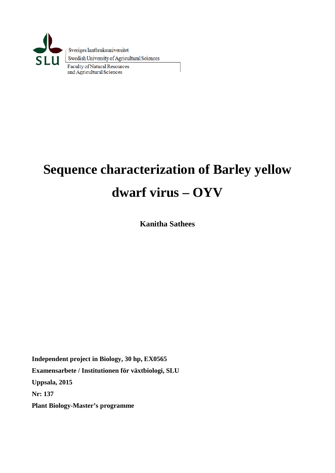

# **Sequence characterization of Barley yellow dwarf virus – OYV**

**Kanitha Sathees**

**Independent project in Biology, 30 hp, EX0565 Examensarbete / Institutionen för växtbiologi, SLU Uppsala, 2015 Nr: 137 Plant Biology-Master's programme**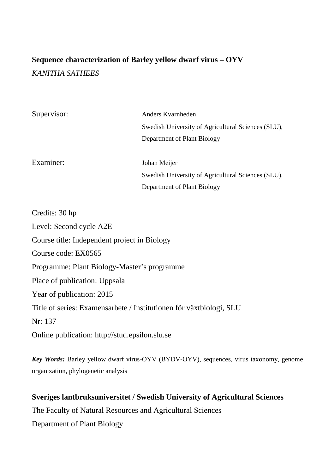## **Sequence characterization of Barley yellow dwarf virus – OYV** *KANITHA SATHEES*

| Supervisor: | Anders Kvarnheden                                  |
|-------------|----------------------------------------------------|
|             | Swedish University of Agricultural Sciences (SLU), |
|             | Department of Plant Biology                        |
| Examiner:   | Johan Meijer                                       |
|             | Swedish University of Agricultural Sciences (SLU), |
|             | Department of Plant Biology                        |
|             |                                                    |

| Credits: 30 hp                                                      |
|---------------------------------------------------------------------|
| Level: Second cycle A2E                                             |
| Course title: Independent project in Biology                        |
| Course code: EX0565                                                 |
| Programme: Plant Biology-Master's programme                         |
| Place of publication: Uppsala                                       |
| Year of publication: 2015                                           |
| Title of series: Examensarbete / Institutionen för växtbiologi, SLU |
| Nr: 137                                                             |
| Online publication: http://stud.epsilon.slu.se                      |
|                                                                     |

*Key Words:* Barley yellow dwarf virus-OYV (BYDV-OYV), sequences, virus taxonomy, genome organization, phylogenetic analysis

## **Sveriges lantbruksuniversitet / Swedish University of Agricultural Sciences** The Faculty of Natural Resources and Agricultural Sciences Department of Plant Biology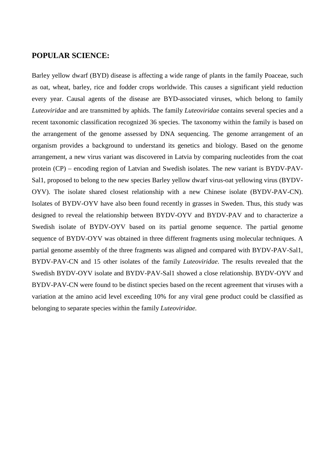#### **POPULAR SCIENCE:**

Barley yellow dwarf (BYD) disease is affecting a wide range of plants in the family Poaceae, such as oat, wheat, barley, rice and fodder crops worldwide. This causes a significant yield reduction every year. Causal agents of the disease are BYD-associated viruses, which belong to family *Luteoviridae* and are transmitted by aphids. The family *Luteoviridae* contains several species and a recent taxonomic classification recognized 36 species. The taxonomy within the family is based on the arrangement of the genome assessed by DNA sequencing. The genome arrangement of an organism provides a background to understand its genetics and biology. Based on the genome arrangement, a new virus variant was discovered in Latvia by comparing nucleotides from the coat protein (CP) – encoding region of Latvian and Swedish isolates. The new variant is BYDV-PAV-Sal1, proposed to belong to the new species Barley yellow dwarf virus-oat yellowing virus (BYDV-OYV). The isolate shared closest relationship with a new Chinese isolate (BYDV-PAV-CN). Isolates of BYDV-OYV have also been found recently in grasses in Sweden. Thus, this study was designed to reveal the relationship between BYDV-OYV and BYDV-PAV and to characterize a Swedish isolate of BYDV-OYV based on its partial genome sequence. The partial genome sequence of BYDV-OYV was obtained in three different fragments using molecular techniques. A partial genome assembly of the three fragments was aligned and compared with BYDV-PAV-Sal1, BYDV-PAV-CN and 15 other isolates of the family *Luteoviridae*. The results revealed that the Swedish BYDV-OYV isolate and BYDV-PAV-Sal1 showed a close relationship. BYDV-OYV and BYDV-PAV-CN were found to be distinct species based on the recent agreement that viruses with a variation at the amino acid level exceeding 10% for any viral gene product could be classified as belonging to separate species within the family *Luteoviridae.*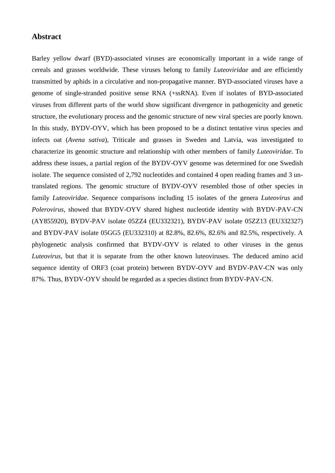#### **Abstract**

Barley yellow dwarf (BYD)-associated viruses are economically important in a wide range of cereals and grasses worldwide. These viruses belong to family *Luteoviridae* and are efficiently transmitted by aphids in a circulative and non-propagative manner. BYD-associated viruses have a genome of single-stranded positive sense RNA (+ssRNA). Even if isolates of BYD-associated viruses from different parts of the world show significant divergence in pathogenicity and genetic structure, the evolutionary process and the genomic structure of new viral species are poorly known. In this study, BYDV-OYV, which has been proposed to be a distinct tentative virus species and infects oat (*Avena sativa*), Triticale and grasses in Sweden and Latvia, was investigated to characterize its genomic structure and relationship with other members of family *Luteoviridae*. To address these issues, a partial region of the BYDV-OYV genome was determined for one Swedish isolate. The sequence consisted of 2,792 nucleotides and contained 4 open reading frames and 3 untranslated regions. The genomic structure of BYDV-OYV resembled those of other species in family *Luteoviridae*. Sequence comparisons including 15 isolates of the genera *Luteovirus* and *Polerovirus*, showed that BYDV-OYV shared highest nucleotide identity with BYDV-PAV-CN (AY855920), BYDV-PAV isolate 05ZZ4 (EU332321), BYDV-PAV isolate 05ZZ13 (EU332327) and BYDV-PAV isolate 05GG5 (EU332310) at 82.8%, 82.6%, 82.6% and 82.5%, respectively. A phylogenetic analysis confirmed that BYDV-OYV is related to other viruses in the genus *Luteovirus*, but that it is separate from the other known luteoviruses. The deduced amino acid sequence identity of ORF3 (coat protein) between BYDV-OYV and BYDV-PAV-CN was only 87%. Thus, BYDV-OYV should be regarded as a species distinct from BYDV-PAV-CN.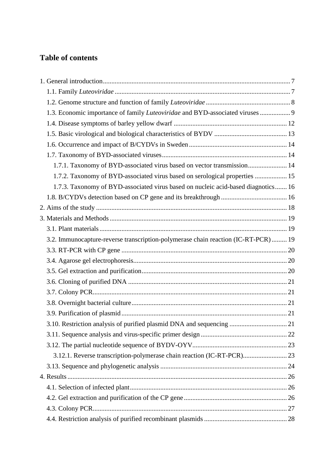## **Table of contents**

| 1.3. Economic importance of family Luteoviridae and BYD-associated viruses  9      |  |
|------------------------------------------------------------------------------------|--|
|                                                                                    |  |
|                                                                                    |  |
|                                                                                    |  |
|                                                                                    |  |
| 1.7.1. Taxonomy of BYD-associated virus based on vector transmission 14            |  |
| 1.7.2. Taxonomy of BYD-associated virus based on serological properties  15        |  |
| 1.7.3. Taxonomy of BYD-associated virus based on nucleic acid-based diagnotics 16  |  |
|                                                                                    |  |
|                                                                                    |  |
|                                                                                    |  |
|                                                                                    |  |
| 3.2. Immunocapture-reverse transcription-polymerase chain reaction (IC-RT-PCR)  19 |  |
|                                                                                    |  |
|                                                                                    |  |
|                                                                                    |  |
|                                                                                    |  |
|                                                                                    |  |
|                                                                                    |  |
|                                                                                    |  |
| 3.10. Restriction analysis of purified plasmid DNA and sequencing  21              |  |
|                                                                                    |  |
|                                                                                    |  |
| 3.12.1. Reverse transcription-polymerase chain reaction (IC-RT-PCR) 23             |  |
|                                                                                    |  |
|                                                                                    |  |
|                                                                                    |  |
|                                                                                    |  |
|                                                                                    |  |
|                                                                                    |  |
|                                                                                    |  |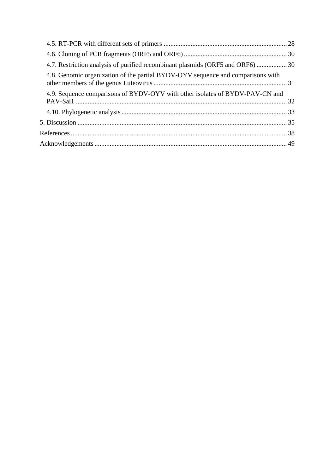| 4.7. Restriction analysis of purified recombinant plasmids (ORF5 and ORF6) 30   |  |
|---------------------------------------------------------------------------------|--|
| 4.8. Genomic organization of the partial BYDV-OYV sequence and comparisons with |  |
| 4.9. Sequence comparisons of BYDV-OYV with other isolates of BYDV-PAV-CN and    |  |
|                                                                                 |  |
|                                                                                 |  |
|                                                                                 |  |
|                                                                                 |  |
|                                                                                 |  |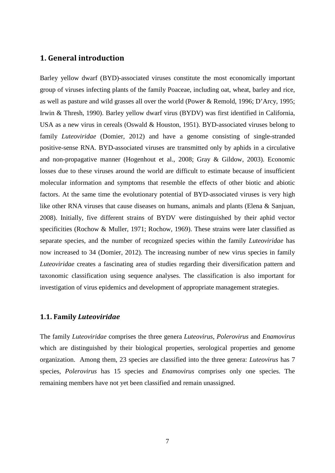#### <span id="page-8-0"></span>**1. General introduction**

Barley yellow dwarf (BYD)-associated viruses constitute the most economically important group of viruses infecting plants of the family Poaceae, including oat, wheat, barley and rice, as well as pasture and wild grasses all over the world (Power & Remold, 1996; D'Arcy, 1995; Irwin & Thresh, 1990). Barley yellow dwarf virus (BYDV) was first identified in California, USA as a new virus in cereals (Oswald & Houston, 1951). BYD-associated viruses belong to family *Luteoviridae* (Domier, 2012) and have a genome consisting of single-stranded positive-sense RNA. BYD-associated viruses are transmitted only by aphids in a circulative and non-propagative manner (Hogenhout et al., 2008; Gray & Gildow, 2003). Economic losses due to these viruses around the world are difficult to estimate because of insufficient molecular information and symptoms that resemble the effects of other biotic and abiotic factors. At the same time the evolutionary potential of BYD-associated viruses is very high like other RNA viruses that cause diseases on humans, animals and plants (Elena & Sanjuan, 2008). Initially, five different strains of BYDV were distinguished by their aphid vector specificities (Rochow & Muller, 1971; Rochow, 1969). These strains were later classified as separate species, and the number of recognized species within the family *Luteoviridae* has now increased to 34 (Domier, 2012). The increasing number of new virus species in family *Luteoviridae* creates a fascinating area of studies regarding their diversification pattern and taxonomic classification using sequence analyses. The classification is also important for investigation of virus epidemics and development of appropriate management strategies.

#### <span id="page-8-1"></span>**1.1. Family** *Luteoviridae*

The family *Luteoviridae* comprises the three genera *Luteovirus*, *Polerovirus* and *Enamovirus* which are distinguished by their biological properties, serological properties and genome organization. Among them, 23 species are classified into the three genera: *Luteovirus* has 7 species, *Polerovirus* has 15 species and *Enamovirus* comprises only one species. The remaining members have not yet been classified and remain unassigned.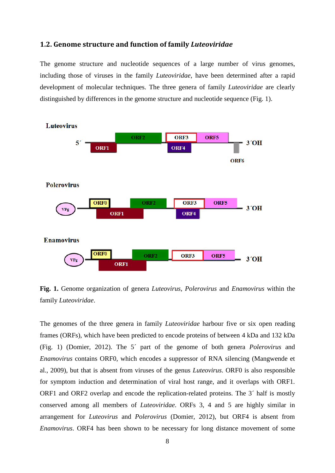#### <span id="page-9-0"></span>**1.2. Genome structure and function of family** *Luteoviridae*

The genome structure and nucleotide sequences of a large number of virus genomes, including those of viruses in the family *Luteoviridae*, have been determined after a rapid development of molecular techniques. The three genera of family *Luteoviridae* are clearly distinguished by differences in the genome structure and nucleotide sequence (Fig. 1).



**Fig. 1.** Genome organization of genera *Luteovirus*, *Polerovirus* and *Enamovirus* within the family *Luteoviridae*.

The genomes of the three genera in family *Luteoviridae* harbour five or six open reading frames (ORFs), which have been predicted to encode proteins of between 4 kDa and 132 kDa (Fig. 1) (Domier, 2012). The 5´ part of the genome of both genera *Polerovirus* and *Enamovirus* contains ORF0, which encodes a suppressor of RNA silencing (Mangwende et al., 2009), but that is absent from viruses of the genus *Luteovirus*. ORF0 is also responsible for symptom induction and determination of viral host range, and it overlaps with ORF1. ORF1 and ORF2 overlap and encode the replication-related proteins. The 3´ half is mostly conserved among all members of *Luteoviridae*. ORFs 3, 4 and 5 are highly similar in arrangement for *Luteovirus* and *Polerovirus* (Domier, 2012), but ORF4 is absent from *Enamovirus*. ORF4 has been shown to be necessary for long distance movement of some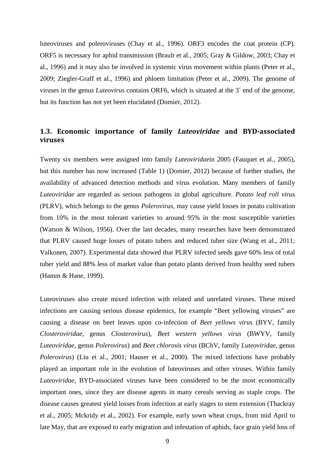luteoviruses and poleroviruses (Chay et al., 1996). ORF3 encodes the coat protein (CP). ORF5 is necessary for aphid transmission (Brault et al., 2005; Gray & Gildow, 2003; Chay et al., 1996) and it may also be involved in systemic virus movement within plants (Peter et al., 2009; Ziegler-Graff et al., 1996) and phloem limitation (Peter et al., 2009). The genome of viruses in the genus *Luteovirus* contains ORF6, which is situated at the 3´ end of the genome, but its function has not yet been elucidated (Domier, 2012).

#### <span id="page-10-0"></span>**1.3. Economic importance of family** *Luteoviridae* **and BYD-associated viruses**

Twenty six members were assigned into family *Luteoviridae*in 2005 (Fauquet et al., 2005), but this number has now increased (Table 1) (Domier, 2012) because of further studies, the availability of advanced detection methods and virus evolution. Many members of family *Luteoviridae* are regarded as serious pathogens in global agriculture. *Potato leaf roll virus* (PLRV), which belongs to the genus *Polerovirus*, may cause yield losses in potato cultivation from 10% in the most tolerant varieties to around 95% in the most susceptible varieties (Watson & Wilson, 1956). Over the last decades, many researches have been demonstrated that PLRV caused huge losses of potato tubers and reduced tuber size (Wang et al., 2011; Valkonen, 2007). Experimental data showed that PLRV infected seeds gave 60% less of total tuber yield and 88% less of market value than potato plants derived from healthy seed tubers (Hamm & Hane, 1999).

Luteoviruses also create mixed infection with related and unrelated viruses. These mixed infections are causing serious disease epidemics, for example "Beet yellowing viruses" are causing a disease on beet leaves upon co-infection of *Beet yellows virus* (BYV, family *Closteroviridae*, genus *Closterovirus*), *Beet western yellows virus* (BWYV, family *Luteoviridae*, genus *Polerovirus*) and *Beet chlorosis virus* (BChV, family *Luteoviridae*, genus *Polerovirus*) (Liu et al., 2001; Hauser et al., 2000). The mixed infections have probably played an important role in the evolution of luteoviruses and other viruses. Within family *Luteoviridae*, BYD-associated viruses have been considered to be the most economically important ones, since they are disease agents in many cereals serving as staple crops. The disease causes greatest yield losses from infection at early stages to stem extension (Thackray et al., 2005; Mckridy et al., 2002). For example, early sown wheat crops, from mid April to late May, that are exposed to early migration and infestation of aphids, face grain yield loss of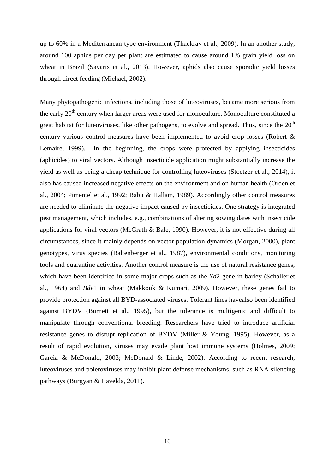up to 60% in a Mediterranean-type environment (Thackray et al., 2009). In an another study, around 100 aphids per day per plant are estimated to cause around 1% grain yield loss on wheat in Brazil (Savaris et al., 2013). However, aphids also cause sporadic yield losses through direct feeding (Michael, 2002).

Many phytopathogenic infections, including those of luteoviruses, became more serious from the early 20<sup>th</sup> century when larger areas were used for monoculture. Monoculture constituted a great habitat for luteoviruses, like other pathogens, to evolve and spread. Thus, since the  $20<sup>th</sup>$ century various control measures have been implemented to avoid crop losses (Robert & Lemaire, 1999). In the beginning, the crops were protected by applying insecticides (aphicides) to viral vectors. Although insecticide application might substantially increase the yield as well as being a cheap technique for controlling luteoviruses (Stoetzer et al., 2014), it also has caused increased negative effects on the environment and on human health (Orden et al., 2004; Pimentel et al., 1992; Babu & Hallam, 1989). Accordingly other control measures are needed to eliminate the negative impact caused by insecticides. One strategy is integrated pest management, which includes, e.g., combinations of altering sowing dates with insecticide applications for viral vectors (McGrath & Bale, 1990). However, it is not effective during all circumstances, since it mainly depends on vector population dynamics (Morgan, 2000), plant genotypes, virus species (Baltenberger et al., 1987), environmental conditions, monitoring tools and quarantine activities. Another control measure is the use of natural resistance genes, which have been identified in some major crops such as the *Yd*2 gene in barley (Schaller et al., 1964) and *Bdv*1 in wheat (Makkouk & Kumari, 2009). However, these genes fail to provide protection against all BYD-associated viruses. Tolerant lines havealso been identified against BYDV (Burnett et al., 1995), but the tolerance is multigenic and difficult to manipulate through conventional breeding. Researchers have tried to introduce artificial resistance genes to disrupt replication of BYDV (Miller & Young, 1995). However, as a result of rapid evolution, viruses may evade plant host immune systems (Holmes, 2009; Garcia & McDonald, 2003; McDonald & Linde, 2002). According to recent research, luteoviruses and poleroviruses may inhibit plant defense mechanisms, such as RNA silencing pathways (Burgyan & Havelda, 2011).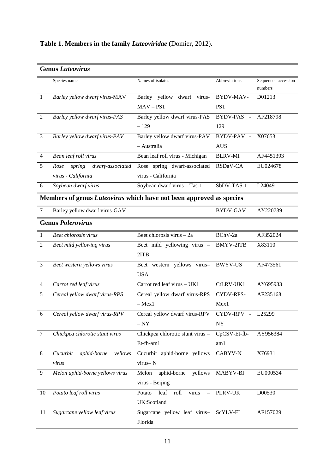|                | <b>Genus Luteovirus</b>                                             |                                                                            |                                  |                               |
|----------------|---------------------------------------------------------------------|----------------------------------------------------------------------------|----------------------------------|-------------------------------|
|                | Species name                                                        | Names of isolates                                                          | Abbreviations                    | Sequence accession<br>numbers |
| -1             | Barley yellow dwarf virus-MAV                                       | Barley yellow dwarf virus-<br>$MAV - PS1$                                  | BYDV-MAV-<br>PS1                 | D01213                        |
| $\overline{2}$ | Barley yellow dwarf virus-PAS                                       | Barley yellow dwarf virus-PAS<br>$-129$                                    | <b>BYDV-PAS</b><br>$\sim$<br>129 | AF218798                      |
| 3              | Barley yellow dwarf virus-PAV                                       | Barley yellow dwarf virus-PAV<br>- Australia                               | BYDV-PAV -<br><b>AUS</b>         | X07653                        |
| $\overline{4}$ | Bean leaf roll virus                                                | Bean leaf roll virus - Michigan                                            | <b>BLRV-MI</b>                   | AF4451393                     |
| 5              | spring<br>dwarf-associated<br>Rose<br>virus - California            | Rose spring dwarf-associated<br>virus - California                         | RSDaV-CA                         | EU024678                      |
| 6              | Soybean dwarf virus                                                 | Soybean dwarf virus - Tas-1                                                | SbDV-TAS-1                       | L24049                        |
|                | Members of genus Luteovirus which have not been approved as species |                                                                            |                                  |                               |
| 7              | Barley yellow dwarf virus-GAV                                       |                                                                            | <b>BYDV-GAV</b>                  | AY220739                      |
|                | <b>Genus Polerovirus</b>                                            |                                                                            |                                  |                               |
| 1              | Beet chlorosis virus                                                | Beet chlorosis virus - 2a                                                  | BChV-2a                          | AF352024                      |
| $\overline{2}$ | Beet mild yellowing virus                                           | Beet mild yellowing virus -<br>2ITB                                        | <b>BMYV-2ITB</b>                 | X83110                        |
| 3              | Beet western yellows virus                                          | Beet western yellows virus-<br><b>USA</b>                                  | <b>BWYV-US</b>                   | AF473561                      |
| $\overline{4}$ | Carrot red leaf virus                                               | Carrot red leaf virus - UK1                                                | CtLRV-UK1                        | AY695933                      |
| 5              | Cereal yellow dwarf virus-RPS                                       | Cereal yellow dwarf virus-RPS<br>$-$ Mex $1$                               | CYDV-RPS-<br>Mex1                | AF235168                      |
| 6              | Cereal yellow dwarf virus-RPV                                       | Cereal yellow dwarf virus-RPV<br>$-{\,}NY$                                 | CYDV-RPV -<br>NY                 | L25299                        |
| $\tau$         | Chickpea chlorotic stunt virus                                      | Chickpea chlorotic stunt virus -<br>Et-fb-am1                              | CpCSV-Et-fb-<br>am1              | AY956384                      |
| 8              | Cucurbit<br>aphid-borne<br>yellows<br>virus                         | Cucurbit aphid-borne yellows<br>virus-N                                    | CABYV-N                          | X76931                        |
| 9              | Melon aphid-borne yellows virus                                     | aphid-borne<br>yellows<br>Melon<br>virus - Beijing                         | MABYV-BJ                         | EU000534                      |
| 10             | Potato leaf roll virus                                              | Potato<br>leaf<br>roll<br>virus<br>$\overline{\phantom{0}}$<br>UK:Scotland | PLRV-UK                          | D00530                        |
| 11             | Sugarcane yellow leaf virus                                         | Sugarcane yellow leaf virus-<br>Florida                                    | ScYLV-FL                         | AF157029                      |

## **Table 1. Members in the family** *Luteoviridae* **(**Domier, 2012).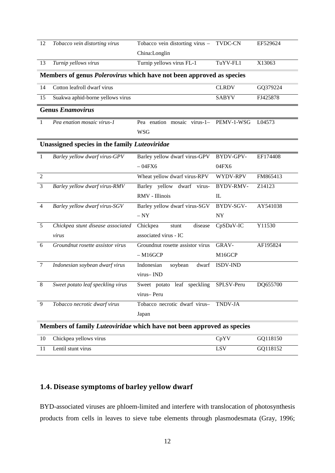| 12             | Tobacco vein distorting virus                                               | Tobacco vein distorting virus - TVDC-CN |                  | EF529624 |
|----------------|-----------------------------------------------------------------------------|-----------------------------------------|------------------|----------|
|                |                                                                             | China:Longlin                           |                  |          |
| 13             | Turnip yellows virus                                                        | Turnip yellows virus FL-1               | TuYV-FL1         | X13063   |
|                | Members of genus <i>Polerovirus</i> which have not been approved as species |                                         |                  |          |
| 14             | Cotton leafroll dwarf virus                                                 |                                         | <b>CLRDV</b>     | GQ379224 |
| 15             | Suakwa aphid-borne yellows virus                                            |                                         | <b>SABYV</b>     | FJ425878 |
|                | <b>Genus Enamovirus</b>                                                     |                                         |                  |          |
| -1             | Pea enation mosaic virus-1                                                  | Pea enation mosaic virus-1- PEMV-1-WSG  |                  | L04573   |
|                |                                                                             | <b>WSG</b>                              |                  |          |
|                | <b>Unassigned species in the family Luteoviridae</b>                        |                                         |                  |          |
| $\perp$        | Barley yellow dwarf virus-GPV                                               | Barley yellow dwarf virus-GPV           | BYDV-GPV-        | EF174408 |
|                |                                                                             | $-04FX6$                                | 04FX6            |          |
| $\overline{2}$ |                                                                             | Wheat yellow dwarf virus-RPV            | WYDV-RPV         | FM865413 |
| $\mathfrak{Z}$ | Barley yellow dwarf virus-RMV                                               | Barley yellow dwarf virus-              | <b>BYDV-RMV-</b> | Z14123   |
|                |                                                                             | RMV - Illinois                          | IL               |          |
| $\overline{4}$ | Barley yellow dwarf virus-SGV                                               | Barley yellow dwarf virus-SGV           | BYDV-SGV-        | AY541038 |
|                |                                                                             | $- NY$                                  | <b>NY</b>        |          |
| 5              | Chickpea stunt disease associated                                           | Chickpea<br>disease<br>stunt            | CpSDaV-IC        | Y11530   |
|                | virus                                                                       | associated virus - IC                   |                  |          |
| 6              | Groundnut rosette assistor virus                                            | Groundnut rosette assistor virus        | GRAV-            | AF195824 |
|                |                                                                             | $-M16GCP$                               | M16GCP           |          |
| $\tau$         | Indonesian soybean dwarf virus                                              | Indonesian<br>soybean<br>dwarf          | <b>ISDV-IND</b>  |          |
|                |                                                                             | virus-IND                               |                  |          |
| 8              | Sweet potato leaf speckling virus                                           | leaf speckling<br>Sweet potato          | SPLSV-Peru       | DQ655700 |
|                |                                                                             | virus-Peru                              |                  |          |
| 9              | Tobacco necrotic dwarf virus                                                | Tobacco necrotic dwarf virus-           | <b>TNDV-JA</b>   |          |
|                |                                                                             | Japan                                   |                  |          |
|                | Members of family Luteoviridae which have not been approved as species      |                                         |                  |          |
| 10             | Chickpea yellows virus                                                      |                                         | CpYV             | GQ118150 |
| 11             | Lentil stunt virus                                                          |                                         | <b>LSV</b>       | GQ118152 |

## <span id="page-13-0"></span>**1.4. Disease symptoms of barley yellow dwarf**

BYD-associated viruses are phloem-limited and interfere with translocation of photosynthesis products from cells in leaves to sieve tube elements through plasmodesmata (Gray, 1996;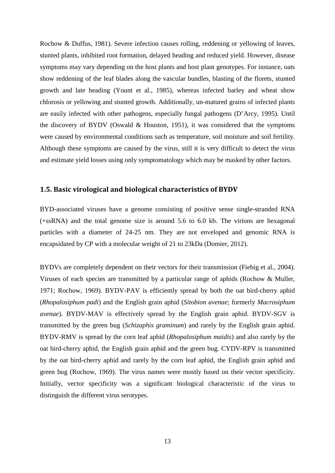Rochow & Duffus, 1981). Severe infection causes rolling, reddening or yellowing of leaves, stunted plants, inhibited root formation, delayed heading and reduced yield. However, disease symptoms may vary depending on the host plants and host plant genotypes. For instance, oats show reddening of the leaf blades along the vascular bundles, blasting of the florets, stunted growth and late heading (Yount et al., 1985), whereas infected barley and wheat show chlorosis or yellowing and stunted growth. Additionally, un-matured grains of infected plants are easily infected with other pathogens, especially fungal pathogens (D'Arcy, 1995). Until the discovery of BYDV (Oswald & Houston, 1951), it was considered that the symptoms were caused by environmental conditions such as temperature, soil moisture and soil fertility. Although these symptoms are caused by the virus, still it is very difficult to detect the virus and estimate yield losses using only symptomatology which may be masked by other factors.

#### <span id="page-14-0"></span>**1.5. Basic virological and biological characteristics of BYDV**

BYD-associated viruses have a genome consisting of positive sense single-stranded RNA (+ssRNA) and the total genome size is around 5.6 to 6.0 kb. The virions are hexagonal particles with a diameter of 24-25 nm. They are not enveloped and genomic RNA is encapsidated by CP with a molecular weight of 21 to 23kDa (Domier, 2012).

BYDVs are completely dependent on their vectors for their transmission (Fiebig et al., 2004). Viruses of each species are transmitted by a particular range of aphids (Rochow & Muller, 1971; Rochow, 1969). BYDV-PAV is efficiently spread by both the oat bird-cherry aphid (*Rhopalosiphum padi*) and the English grain aphid (*Sitobion avenae*; formerly *Macrosiphum avenae*). BYDV-MAV is effectively spread by the English grain aphid. BYDV-SGV is transmitted by the green bug (*Schizaphis graminum*) and rarely by the English grain aphid. BYDV-RMV is spread by the corn leaf aphid (*Rhopalosiphum maidis*) and also rarely by the oat bird-cherry aphid, the English grain aphid and the green bug. CYDV-RPV is transmitted by the oat bird-cherry aphid and rarely by the corn leaf aphid, the English grain aphid and green bug (Rochow, 1969). The virus names were mostly based on their vector specificity. Initially, vector specificity was a significant biological characteristic of the virus to distinguish the different virus serotypes.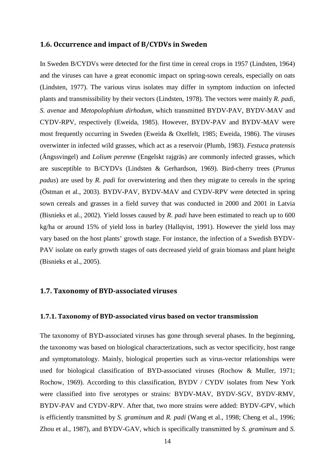#### <span id="page-15-0"></span>**1.6. Occurrence and impact of B/CYDVs in Sweden**

In Sweden B/CYDVs were detected for the first time in cereal crops in 1957 (Lindsten, 1964) and the viruses can have a great economic impact on spring-sown cereals, especially on oats (Lindsten, 1977). The various virus isolates may differ in symptom induction on infected plants and transmissibility by their vectors (Lindsten, 1978). The vectors were mainly *R. padi*, *S. avenae* and *Metopolophium dirhodum*, which transmitted BYDV-PAV, BYDV-MAV and CYDV-RPV, respectively (Eweida, 1985). However, BYDV-PAV and BYDV-MAV were most frequently occurring in Sweden (Eweida & Oxelfelt, 1985; Eweida, 1986). The viruses overwinter in infected wild grasses, which act as a reservoir (Plumb, 1983). *Festuca pratensis* (Ängssvingel) and *Lolium perenne* (Engelskt rajgräs) are commonly infected grasses, which are susceptible to B/CYDVs (Lindsten & Gerhardson, 1969). Bird-cherry trees (*Prunus padus*) are used by *R. padi* for overwintering and then they migrate to cereals in the spring (Östman et al., 2003). BYDV-PAV, BYDV-MAV and CYDV-RPV were detected in spring sown cereals and grasses in a field survey that was conducted in 2000 and 2001 in Latvia (Bisnieks et al., 2002). Yield losses caused by *R. padi* have been estimated to reach up to 600 kg/ha or around 15% of yield loss in barley (Hallqvist, 1991). However the yield loss may vary based on the host plants' growth stage. For instance, the infection of a Swedish BYDV-PAV isolate on early growth stages of oats decreased yield of grain biomass and plant height (Bisnieks et al., 2005).

#### <span id="page-15-1"></span>**1.7. Taxonomy of BYD-associated viruses**

#### <span id="page-15-2"></span>**1.7.1. Taxonomy of BYD-associated virus based on vector transmission**

The taxonomy of BYD-associated viruses has gone through several phases. In the beginning, the taxonomy was based on biological characterizations, such as vector specificity, host range and symptomatology. Mainly, biological properties such as virus-vector relationships were used for biological classification of BYD-associated viruses (Rochow & Muller, 1971; Rochow, 1969). According to this classification, BYDV / CYDV isolates from New York were classified into five serotypes or strains: BYDV-MAV, BYDV-SGV, BYDV-RMV, BYDV-PAV and CYDV-RPV. After that, two more strains were added: BYDV-GPV, which is efficiently transmitted by *S. graminum* and *R. padi* (Wang et al., 1998; Cheng et al., 1996; Zhou et al., 1987), and BYDV-GAV, which is specifically transmitted by *S. graminum* and *S.*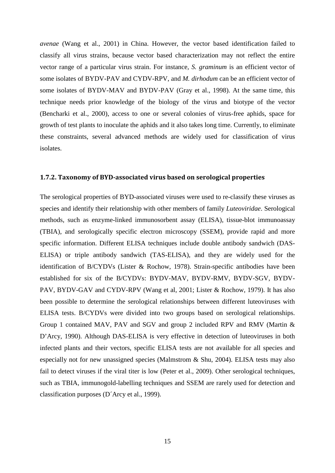*avenae* (Wang et al., 2001) in China. However, the vector based identification failed to classify all virus strains, because vector based characterization may not reflect the entire vector range of a particular virus strain. For instance, *S. graminum* is an efficient vector of some isolates of BYDV-PAV and CYDV-RPV, and *M. dirhodum* can be an efficient vector of some isolates of BYDV-MAV and BYDV-PAV (Gray et al., 1998). At the same time, this technique needs prior knowledge of the biology of the virus and biotype of the vector (Bencharki et al., 2000), access to one or several colonies of virus-free aphids, space for growth of test plants to inoculate the aphids and it also takes long time. Currently, to eliminate these constraints, several advanced methods are widely used for classification of virus isolates.

#### <span id="page-16-0"></span>**1.7.2. Taxonomy of BYD-associated virus based on serological properties**

The serological properties of BYD-associated viruses were used to re-classify these viruses as species and identify their relationship with other members of family *Luteoviridae*. Serological methods, such as enzyme-linked immunosorbent assay (ELISA), tissue-blot immunoassay (TBIA), and serologically specific electron microscopy (SSEM), provide rapid and more specific information. Different ELISA techniques include double antibody sandwich (DAS-ELISA) or triple antibody sandwich (TAS-ELISA), and they are widely used for the identification of B/CYDVs (Lister & Rochow, 1978). Strain-specific antibodies have been established for six of the B/CYDVs: BYDV-MAV, BYDV-RMV, BYDV-SGV, BYDV-PAV, BYDV-GAV and CYDV-RPV (Wang et al, 2001; Lister & Rochow, 1979). It has also been possible to determine the serological relationships between different luteoviruses with ELISA tests. B/CYDVs were divided into two groups based on serological relationships. Group 1 contained MAV, PAV and SGV and group 2 included RPV and RMV (Martin & D'Arcy, 1990). Although DAS-ELISA is very effective in detection of luteoviruses in both infected plants and their vectors, specific ELISA tests are not available for all species and especially not for new unassigned species (Malmstrom & Shu, 2004). ELISA tests may also fail to detect viruses if the viral titer is low (Peter et al., 2009). Other serological techniques, such as TBIA, immunogold-labelling techniques and SSEM are rarely used for detection and classification purposes (D´Arcy et al., 1999).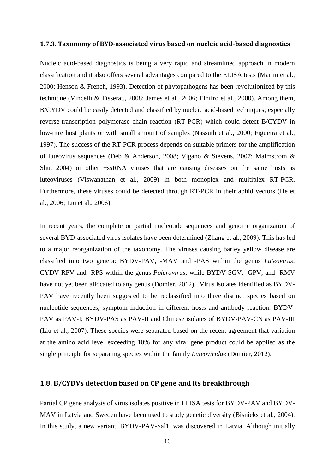#### <span id="page-17-0"></span>**1.7.3. Taxonomy of BYD-associated virus based on nucleic acid-based diagnostics**

Nucleic acid-based diagnostics is being a very rapid and streamlined approach in modern classification and it also offers several advantages compared to the ELISA tests (Martin et al., 2000; Henson & French, 1993). Detection of phytopathogens has been revolutionized by this technique (Vincelli & Tisserat., 2008; James et al., 2006; Elnifro et al., 2000). Among them, B/CYDV could be easily detected and classified by nucleic acid-based techniques, especially reverse-transcription polymerase chain reaction (RT-PCR) which could detect B/CYDV in low-titre host plants or with small amount of samples (Nassuth et al., 2000; Figueira et al., 1997). The success of the RT-PCR process depends on suitable primers for the amplification of luteovirus sequences (Deb & Anderson, 2008; Vigano & Stevens, 2007; Malmstrom & Shu, 2004) or other +ssRNA viruses that are causing diseases on the same hosts as luteoviruses (Viswanathan et al., 2009) in both monoplex and multiplex RT-PCR. Furthermore, these viruses could be detected through RT-PCR in their aphid vectors (He et al., 2006; Liu et al., 2006).

In recent years, the complete or partial nucleotide sequences and genome organization of several BYD-associated virus isolates have been determined (Zhang et al., 2009). This has led to a major reorganization of the taxonomy. The viruses causing barley yellow disease are classified into two genera: BYDV-PAV, -MAV and -PAS within the genus *Luteovirus*; CYDV-RPV and -RPS within the genus *Polerovirus*; while BYDV-SGV, -GPV, and -RMV have not yet been allocated to any genus (Domier, 2012). Virus isolates identified as BYDV-PAV have recently been suggested to be reclassified into three distinct species based on nucleotide sequences, symptom induction in different hosts and antibody reaction: BYDV-PAV as PAV-I; BYDV-PAS as PAV-II and Chinese isolates of BYDV-PAV-CN as PAV-III (Liu et al., 2007). These species were separated based on the recent agreement that variation at the amino acid level exceeding 10% for any viral gene product could be applied as the single principle for separating species within the family *Luteoviridae* (Domier, 2012).

#### <span id="page-17-1"></span>**1.8. B/CYDVs detection based on CP gene and its breakthrough**

Partial CP gene analysis of virus isolates positive in ELISA tests for BYDV-PAV and BYDV-MAV in Latvia and Sweden have been used to study genetic diversity (Bisnieks et al., 2004). In this study, a new variant, BYDV-PAV-Sal1, was discovered in Latvia. Although initially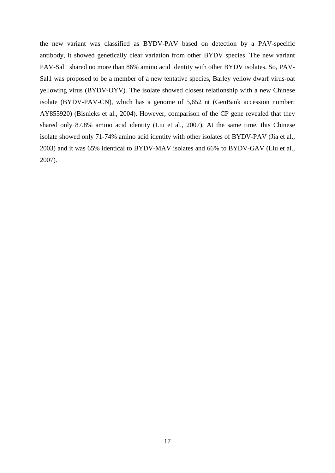the new variant was classified as BYDV-PAV based on detection by a PAV-specific antibody, it showed genetically clear variation from other BYDV species. The new variant PAV-Sal1 shared no more than 86% amino acid identity with other BYDV isolates. So, PAV-Sal1 was proposed to be a member of a new tentative species, Barley yellow dwarf virus-oat yellowing virus (BYDV-OYV). The isolate showed closest relationship with a new Chinese isolate (BYDV-PAV-CN), which has a genome of 5,652 nt (GenBank accession number: AY855920) (Bisnieks et al., 2004). However, comparison of the CP gene revealed that they shared only 87.8% amino acid identity (Liu et al., 2007). At the same time, this Chinese isolate showed only 71-74% amino acid identity with other isolates of BYDV-PAV (Jia et al., 2003) and it was 65% identical to BYDV-MAV isolates and 66% to BYDV-GAV (Liu et al., 2007).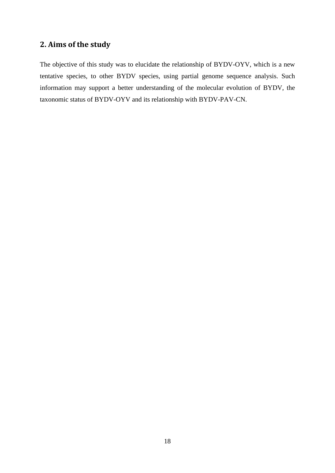## <span id="page-19-0"></span>**2. Aims of the study**

The objective of this study was to elucidate the relationship of BYDV-OYV, which is a new tentative species, to other BYDV species, using partial genome sequence analysis. Such information may support a better understanding of the molecular evolution of BYDV, the taxonomic status of BYDV-OYV and its relationship with BYDV-PAV-CN.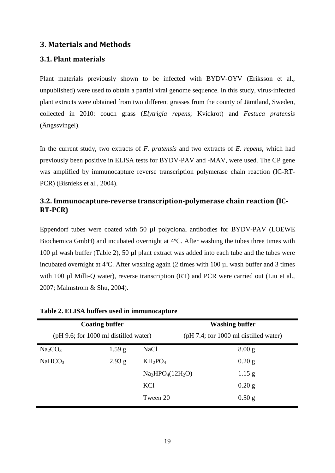### <span id="page-20-0"></span>**3. Materials and Methods**

### <span id="page-20-1"></span>**3.1. Plant materials**

Plant materials previously shown to be infected with BYDV-OYV (Eriksson et al., unpublished) were used to obtain a partial viral genome sequence. In this study, virus-infected plant extracts were obtained from two different grasses from the county of Jämtland, Sweden, collected in 2010: couch grass (*Elytrigia repens*; Kvickrot) and *Festuca pratensis* (Ängssvingel).

In the current study, two extracts of *F. pratensis* and two extracts of *E. repens*, which had previously been positive in ELISA tests for BYDV-PAV and -MAV, were used. The CP gene was amplified by immunocapture reverse transcription polymerase chain reaction (IC-RT-PCR) (Bisnieks et al., 2004).

#### <span id="page-20-2"></span>**3.2. Immunocapture-reverse transcription-polymerase chain reaction (IC-RT-PCR)**

Eppendorf tubes were coated with 50 µl polyclonal antibodies for BYDV-PAV (LOEWE Biochemica GmbH) and incubated overnight at 4ºC. After washing the tubes three times with 100 µl wash buffer (Table 2), 50 µl plant extract was added into each tube and the tubes were incubated overnight at 4ºC. After washing again (2 times with 100 µl wash buffer and 3 times with 100 µl Milli-Q water), reverse transcription (RT) and PCR were carried out (Liu et al., 2007; Malmstrom & Shu, 2004).

|                                 | <b>Coating buffer</b>                   |                  | <b>Washing buffer</b>                   |  |  |
|---------------------------------|-----------------------------------------|------------------|-----------------------------------------|--|--|
|                                 | $(pH 9.6;$ for 1000 ml distilled water) |                  | $(pH 7.4;$ for 1000 ml distilled water) |  |  |
| Na <sub>2</sub> CO <sub>3</sub> | 1.59 <sub>g</sub>                       | <b>NaCl</b>      | 8.00 <sub>g</sub>                       |  |  |
| NaHCO <sub>3</sub>              | 2.93 g                                  | $KH_2PO_4$       | $0.20$ g                                |  |  |
|                                 |                                         | $Na2HPO4(12H2O)$ | $1.15$ g                                |  |  |
|                                 |                                         | KCl              | $0.20$ g                                |  |  |
|                                 |                                         | Tween 20         | $0.50$ g                                |  |  |

#### **Table 2. ELISA buffers used in immunocapture**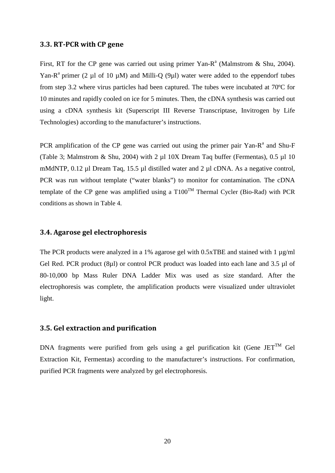#### <span id="page-21-0"></span>**3.3. RT-PCR with CP gene**

First, RT for the CP gene was carried out using primer Yan-R<sup>a</sup> (Malmstrom & Shu, 2004). Yan-R<sup>a</sup> primer (2 µl of 10 µM) and Milli-Q (9µl) water were added to the eppendorf tubes from step 3.2 where virus particles had been captured. The tubes were incubated at 70ºC for 10 minutes and rapidly cooled on ice for 5 minutes. Then, the cDNA synthesis was carried out using a cDNA synthesis kit (Superscript III Reverse Transcriptase, Invitrogen by Life Technologies) according to the manufacturer's instructions.

PCR amplification of the CP gene was carried out using the primer pair Yan- $R<sup>a</sup>$  and Shu-F (Table 3; Malmstrom & Shu, 2004) with 2  $\mu$ l 10X Dream Taq buffer (Fermentas), 0.5  $\mu$ l 10 mMdNTP, 0.12 µl Dream Taq, 15.5 µl distilled water and 2 µl cDNA. As a negative control, PCR was run without template ("water blanks") to monitor for contamination. The cDNA template of the CP gene was amplified using a  $T100^{TM}$  Thermal Cycler (Bio-Rad) with PCR conditions as shown in Table 4.

#### <span id="page-21-1"></span>**3.4. Agarose gel electrophoresis**

The PCR products were analyzed in a 1% agarose gel with 0.5xTBE and stained with 1  $\mu$ g/ml Gel Red. PCR product (8µl) or control PCR product was loaded into each lane and 3.5 µl of 80-10,000 bp Mass Ruler DNA Ladder Mix was used as size standard. After the electrophoresis was complete, the amplification products were visualized under ultraviolet light.

#### <span id="page-21-2"></span>**3.5. Gel extraction and purification**

DNA fragments were purified from gels using a gel purification kit (Gene JET<sup>TM</sup> Gel Extraction Kit, Fermentas) according to the manufacturer's instructions. For confirmation, purified PCR fragments were analyzed by gel electrophoresis.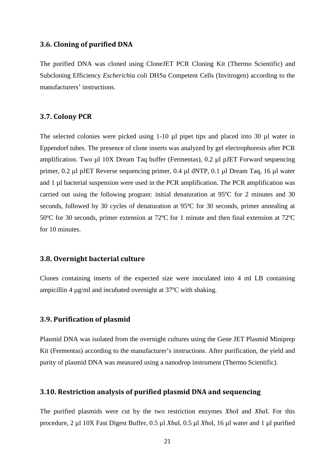#### <span id="page-22-0"></span>**3.6. Cloning of purified DNA**

The purified DNA was cloned using CloneJET PCR Cloning Kit (Thermo Scientific) and Subcloning Efficiency *Escherichia coli* DH5α Competent Cells (Invitrogen) according to the manufacturers' instructions.

#### <span id="page-22-1"></span>**3.7. Colony PCR**

The selected colonies were picked using 1-10  $\mu$ l pipet tips and placed into 30  $\mu$ l water in Eppendorf tubes. The presence of clone inserts was analyzed by gel electrophoresis after PCR amplification. Two µl 10X Dream Taq buffer (Fermentas), 0.2 µl pJET Forward sequencing primer, 0.2 µl pJET Reverse sequencing primer, 0.4 µl dNTP, 0.1 µl Dream Taq, 16 µl water and 1 µl bacterial suspension were used in the PCR amplification. The PCR amplification was carried out using the following program: initial denaturation at 95ºC for 2 minutes and 30 seconds, followed by 30 cycles of denaturation at 95ºC for 30 seconds, primer annealing at 50ºC for 30 seconds, primer extension at 72ºC for 1 minute and then final extension at 72ºC for 10 minutes.

#### <span id="page-22-2"></span>**3.8. Overnight bacterial culture**

Clones containing inserts of the expected size were inoculated into 4 ml LB containing ampicillin 4 µg/ml and incubated overnight at 37ºC with shaking.

#### <span id="page-22-3"></span>**3.9. Purification of plasmid**

Plasmid DNA was isolated from the overnight cultures using the Gene JET Plasmid Miniprep Kit (Fermentas) according to the manufacturer's instructions. After purification, the yield and purity of plasmid DNA was measured using a nanodrop instrument (Thermo Scientific).

#### <span id="page-22-4"></span>**3.10. Restriction analysis of purified plasmid DNA and sequencing**

The purified plasmids were cut by the two restriction enzymes *Xho*I and *Xba*I. For this procedure, 2 µl 10X Fast Digest Buffer, 0.5 µl *Xba*l, 0.5 µl *Xho*l, 16 µl water and 1 µl purified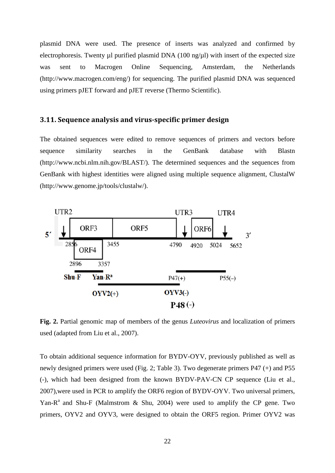plasmid DNA were used. The presence of inserts was analyzed and confirmed by electrophoresis. Twenty µl purified plasmid DNA  $(100 \text{ ng/u})$  with insert of the expected size was sent to Macrogen Online Sequencing, Amsterdam, the Netherlands (http://www.macrogen.com/eng/) for sequencing. The purified plasmid DNA was sequenced using primers pJET forward and pJET reverse (Thermo Scientific).

#### <span id="page-23-0"></span>**3.11. Sequence analysis and virus-specific primer design**

The obtained sequences were edited to remove sequences of primers and vectors before sequence similarity searches in the GenBank database with Blastn (http://www.ncbi.nlm.nih.gov/BLAST/). The determined sequences and the sequences from GenBank with highest identities were aligned using multiple sequence alignment, ClustalW (http://www.genome.jp/tools/clustalw/).



**Fig. 2.** Partial genomic map of members of the genus *Luteovirus* and localization of primers used (adapted from Liu et al., 2007).

To obtain additional sequence information for BYDV-OYV, previously published as well as newly designed primers were used (Fig. 2; Table 3). Two degenerate primers P47 (+) and P55 (-), which had been designed from the known BYDV-PAV-CN CP sequence (Liu et al., 2007),were used in PCR to amplify the ORF6 region of BYDV-OYV. Two universal primers, Yan-R<sup>a</sup> and Shu-F (Malmstrom & Shu, 2004) were used to amplify the CP gene. Two primers, OYV2 and OYV3, were designed to obtain the ORF5 region. Primer OYV2 was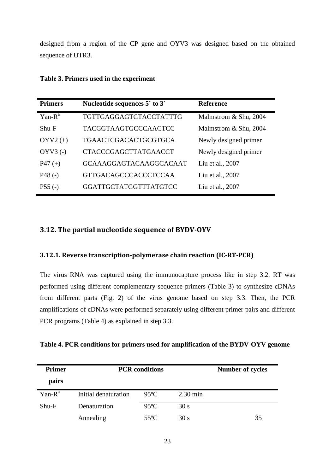designed from a region of the CP gene and OYV3 was designed based on the obtained sequence of UTR3.

| Nucleotide sequences 5' to 3'<br><b>Primers</b> |                               | <b>Reference</b>      |
|-------------------------------------------------|-------------------------------|-----------------------|
| $Yan-Ra$                                        | <b>TGTTGAGGAGTCTACCTATTTG</b> | Malmstrom & Shu, 2004 |
| $Shu-F$                                         | <b>TACGGTAAGTGCCCAACTCC</b>   | Malmstrom & Shu, 2004 |
| $OYV2 (+)$                                      | TGAACTCGACACTGCGTGCA          | Newly designed primer |
| $OYV3$ (-)                                      | <b>CTACCCGAGCTTATGAACCT</b>   | Newly designed primer |
| $P47 (+)$                                       | <b>GCAAAGGAGTACAAGGCACAAT</b> | Liu et al., 2007      |
| $P48(-)$                                        | <b>GTTGACAGCCCACCCTCCAA</b>   | Liu et al., 2007      |
| $P55(-)$                                        | GGATTGCTATGGTTTATGTCC         | Liu et al., 2007      |

**Table 3. Primers used in the experiment**

#### <span id="page-24-0"></span>**3.12. The partial nucleotide sequence of BYDV-OYV**

#### <span id="page-24-1"></span>**3.12.1. Reverse transcription-polymerase chain reaction (IC-RT-PCR)**

The virus RNA was captured using the immunocapture process like in step 3.2. RT was performed using different complementary sequence primers (Table 3) to synthesize cDNAs from different parts (Fig. 2) of the virus genome based on step 3.3. Then, the PCR amplifications of cDNAs were performed separately using different primer pairs and different PCR programs (Table 4) as explained in step 3.3.

|  |  |  | Table 4. PCR conditions for primers used for amplification of the BYDV-OYV genome |  |  |
|--|--|--|-----------------------------------------------------------------------------------|--|--|
|  |  |  |                                                                                   |  |  |

| <b>Primer</b> | <b>PCR</b> conditions | <b>Number of cycles</b> |                    |    |
|---------------|-----------------------|-------------------------|--------------------|----|
| pairs         |                       |                         |                    |    |
| $Yan-Ra$      | Initial denaturation  | $95^{\circ}$ C          | $2.30 \text{ min}$ |    |
| $Shu-F$       | Denaturation          | $95^{\circ}$ C          | 30 s               |    |
|               | Annealing             | $55^{\circ}$ C          | 30 s               | 35 |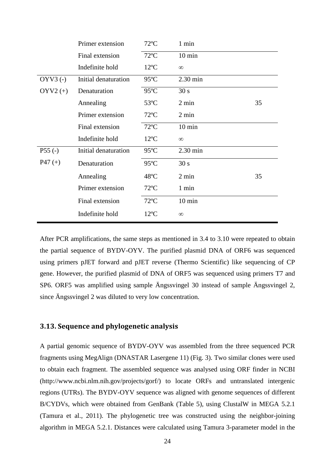|            | Primer extension     | $72^{\circ}$ C | 1 min              |    |
|------------|----------------------|----------------|--------------------|----|
|            | Final extension      | $72^{\circ}C$  | $10 \text{ min}$   |    |
|            | Indefinite hold      | $12^{\circ}C$  | $\infty$           |    |
| $OYV3$ (-) | Initial denaturation | $95^{\circ}$ C | $2.30 \text{ min}$ |    |
| $OYV2 (+)$ | Denaturation         | $95^{\circ}$ C | 30 s               |    |
|            | Annealing            | $53^{\circ}$ C | $2 \text{ min}$    | 35 |
|            | Primer extension     | $72^{\circ}$ C | 2 min              |    |
|            | Final extension      | $72^{\circ}$ C | $10 \text{ min}$   |    |
|            | Indefinite hold      | $12^{\circ}C$  | $\infty$           |    |
| $P55(-)$   | Initial denaturation | $95^{\circ}$ C | 2.30 min           |    |
| $P47 (+)$  | Denaturation         | $95^{\circ}$ C | 30 s               |    |
|            | Annealing            | 48°C           | 2 min              | 35 |
|            | Primer extension     | $72^{\circ}$ C | 1 min              |    |
|            | Final extension      | $72^{\circ}$ C | $10 \text{ min}$   |    |
|            | Indefinite hold      | $12^{\circ}$ C | $\infty$           |    |

After PCR amplifications, the same steps as mentioned in 3.4 to 3.10 were repeated to obtain the partial sequence of BYDV-OYV. The purified plasmid DNA of ORF6 was sequenced using primers pJET forward and pJET reverse (Thermo Scientific) like sequencing of CP gene. However, the purified plasmid of DNA of ORF5 was sequenced using primers T7 and SP6. ORF5 was amplified using sample Ängssvingel 30 instead of sample Ängssvingel 2, since Ängssvingel 2 was diluted to very low concentration.

#### <span id="page-25-0"></span>**3.13. Sequence and phylogenetic analysis**

A partial genomic sequence of BYDV-OYV was assembled from the three sequenced PCR fragments using MegAlign (DNASTAR Lasergene 11) (Fig. 3). Two similar clones were used to obtain each fragment. The assembled sequence was analysed using ORF finder in NCBI (http://www.ncbi.nlm.nih.gov/projects/gorf/) to locate ORFs and untranslated intergenic regions (UTRs). The BYDV-OYV sequence was aligned with genome sequences of different B/CYDVs, which were obtained from GenBank (Table 5), using ClustalW in MEGA 5.2.1 (Tamura et al., 2011). The phylogenetic tree was constructed using the neighbor-joining algorithm in MEGA 5.2.1. Distances were calculated using Tamura 3-parameter model in the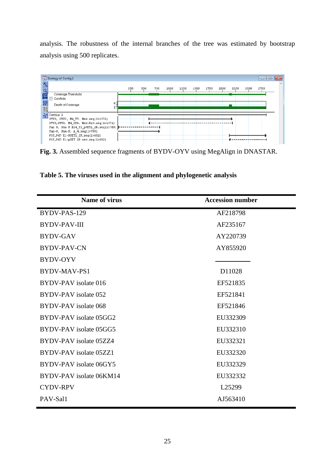analysis. The robustness of the internal branches of the tree was estimated by bootstrap analysis using 500 replicates.



**Fig. 3.** Assembled sequence fragments of BYDV-OYV using MegAlign in DNASTAR.

**Table 5. The viruses used in the alignment and phylogenetic analysis**

| <b>Name of virus</b>        | <b>Accession number</b> |
|-----------------------------|-------------------------|
| BYDV-PAS-129                | AF218798                |
| <b>BYDV-PAV-III</b>         | AF235167                |
| <b>BYDV-GAV</b>             | AY220739                |
| <b>BYDV-PAV-CN</b>          | AY855920                |
| <b>BYDV-OYV</b>             |                         |
| BYDV-MAV-PS1                | D11028                  |
| BYDV-PAV isolate 016        | EF521835                |
| BYDV-PAV isolate 052        | EF521841                |
| <b>BYDV-PAV</b> isolate 068 | EF521846                |
| BYDV-PAV isolate 05GG2      | EU332309                |
| BYDV-PAV isolate 05GG5      | EU332310                |
| BYDV-PAV isolate 05ZZ4      | EU332321                |
| BYDV-PAV isolate 05ZZ1      | EU332320                |
| BYDV-PAV isolate 06GY5      | EU332329                |
| BYDV-PAV isolate 06KM14     | EU332332                |
| <b>CYDV-RPV</b>             | L25299                  |
| PAV-Sal1                    | AJ563410                |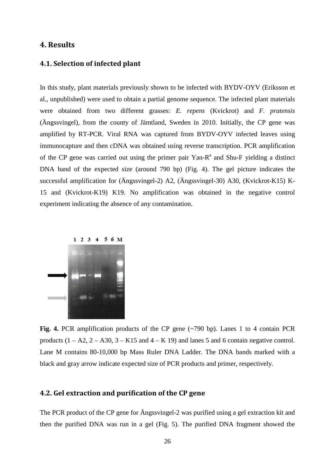#### <span id="page-27-0"></span>**4. Results**

#### <span id="page-27-1"></span>**4.1. Selection of infected plant**

In this study, plant materials previously shown to be infected with BYDV-OYV (Eriksson et al., unpublished) were used to obtain a partial genome sequence. The infected plant materials were obtained from two different grasses: *E. repens* (Kvickrot) and *F. pratensis* (Ängssvingel), from the county of Jämtland, Sweden in 2010. Initially, the CP gene was amplified by RT-PCR. Viral RNA was captured from BYDV-OYV infected leaves using immunocapture and then cDNA was obtained using reverse transcription. PCR amplification of the CP gene was carried out using the primer pair  $Yan-R<sup>a</sup>$  and Shu-F yielding a distinct DNA band of the expected size (around 790 bp) (Fig. 4). The gel picture indicates the successful amplification for (Ängssvingel-2) A2, (Ängssvingel-30) A30, (Kvickrot-K15) K-15 and (Kvickrot-K19) K19. No amplification was obtained in the negative control experiment indicating the absence of any contamination.



**Fig. 4.** PCR amplification products of the CP gene (~790 bp). Lanes 1 to 4 contain PCR products  $(1 - A2, 2 - A30, 3 - K15, 4 - K19)$  and lanes 5 and 6 contain negative control. Lane M contains 80-10,000 bp Mass Ruler DNA Ladder. The DNA bands marked with a black and gray arrow indicate expected size of PCR products and primer, respectively.

#### <span id="page-27-2"></span>**4.2. Gel extraction and purification of the CP gene**

The PCR product of the CP gene for Ängssvingel-2 was purified using a gel extraction kit and then the purified DNA was run in a gel (Fig. 5). The purified DNA fragment showed the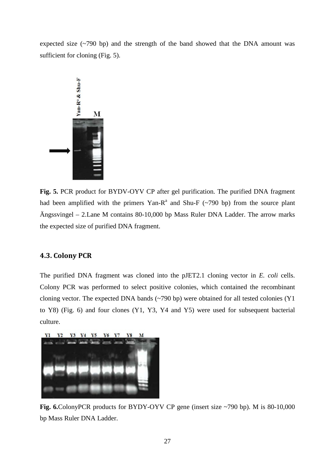expected size (~790 bp) and the strength of the band showed that the DNA amount was sufficient for cloning (Fig. 5).



**Fig. 5.** PCR product for BYDV-OYV CP after gel purification. The purified DNA fragment had been amplified with the primers Yan-R<sup>a</sup> and Shu-F ( $\sim$ 790 bp) from the source plant Ängssvingel – 2.Lane M contains 80-10,000 bp Mass Ruler DNA Ladder. The arrow marks the expected size of purified DNA fragment.

#### <span id="page-28-0"></span>**4.3. Colony PCR**

The purified DNA fragment was cloned into the pJET2.1 cloning vector in *E. coli* cells. Colony PCR was performed to select positive colonies, which contained the recombinant cloning vector. The expected DNA bands (~790 bp) were obtained for all tested colonies (Y1 to Y8) (Fig. 6) and four clones (Y1, Y3, Y4 and Y5) were used for subsequent bacterial culture.



**Fig. 6.**ColonyPCR products for BYDY-OYV CP gene (insert size ~790 bp). M is 80-10,000 bp Mass Ruler DNA Ladder.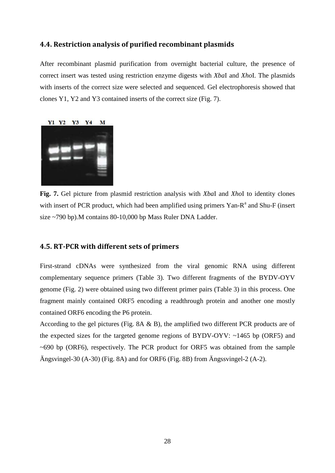#### <span id="page-29-0"></span>**4.4. Restriction analysis of purified recombinant plasmids**

After recombinant plasmid purification from overnight bacterial culture, the presence of correct insert was tested using restriction enzyme digests with *Xba*I and *Xho*I. The plasmids with inserts of the correct size were selected and sequenced. Gel electrophoresis showed that clones Y1, Y2 and Y3 contained inserts of the correct size (Fig. 7).



**Fig. 7.** Gel picture from plasmid restriction analysis with *Xba*I and *Xho*I to identity clones with insert of PCR product, which had been amplified using primers  $Yan-R<sup>a</sup>$  and Shu-F (insert size ~790 bp).M contains 80-10,000 bp Mass Ruler DNA Ladder.

#### <span id="page-29-1"></span>**4.5. RT-PCR with different sets of primers**

First-strand cDNAs were synthesized from the viral genomic RNA using different complementary sequence primers (Table 3). Two different fragments of the BYDV-OYV genome (Fig. 2) were obtained using two different primer pairs (Table 3) in this process. One fragment mainly contained ORF5 encoding a readthrough protein and another one mostly contained ORF6 encoding the P6 protein.

According to the gel pictures (Fig. 8A & B), the amplified two different PCR products are of the expected sizes for the targeted genome regions of BYDV-OYV: ~1465 bp (ORF5) and  $\sim$  690 bp (ORF6), respectively. The PCR product for ORF5 was obtained from the sample Ängsvingel-30 (A-30) (Fig. 8A) and for ORF6 (Fig. 8B) from Ängssvingel-2 (A-2).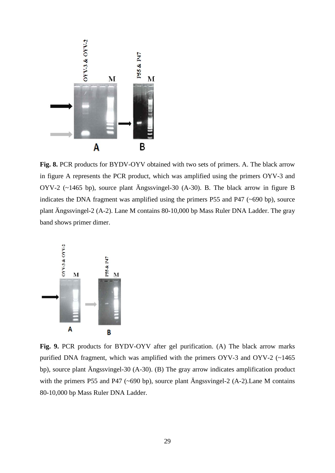

**Fig. 8.** PCR products for BYDV-OYV obtained with two sets of primers. A. The black arrow in figure A represents the PCR product, which was amplified using the primers OYV-3 and OYV-2 (~1465 bp), source plant Ängssvingel-30 (A-30). B. The black arrow in figure B indicates the DNA fragment was amplified using the primers P55 and P47 (~690 bp), source plant Ängssvingel-2 (A-2). Lane M contains 80-10,000 bp Mass Ruler DNA Ladder. The gray band shows primer dimer.



**Fig. 9.** PCR products for BYDV-OYV after gel purification. (A) The black arrow marks purified DNA fragment, which was amplified with the primers OYV-3 and OYV-2 (~1465 bp), source plant Ängssvingel-30 (A-30). (B) The gray arrow indicates amplification product with the primers P55 and P47 (~690 bp), source plant Ängssvingel-2 (A-2). Lane M contains 80-10,000 bp Mass Ruler DNA Ladder.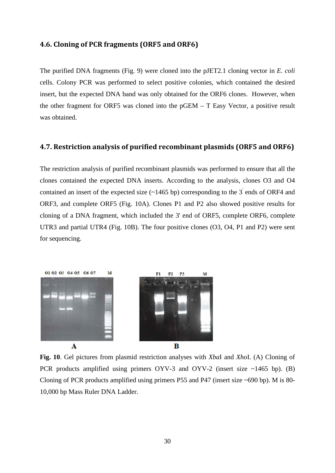#### <span id="page-31-0"></span>**4.6. Cloning of PCR fragments (ORF5 and ORF6)**

The purified DNA fragments (Fig. 9) were cloned into the pJET2.1 cloning vector in *E. coli* cells. Colony PCR was performed to select positive colonies, which contained the desired insert, but the expected DNA band was only obtained for the ORF6 clones. However, when the other fragment for ORF5 was cloned into the pGEM – T Easy Vector, a positive result was obtained.

#### <span id="page-31-1"></span>**4.7. Restriction analysis of purified recombinant plasmids (ORF5 and ORF6)**

The restriction analysis of purified recombinant plasmids was performed to ensure that all the clones contained the expected DNA inserts. According to the analysis, clones O3 and O4 contained an insert of the expected size  $(\sim 1465 \text{ bp})$  corresponding to the 3<sup>'</sup> ends of ORF4 and ORF3, and complete ORF5 (Fig. 10A). Clones P1 and P2 also showed positive results for cloning of a DNA fragment, which included the 3' end of ORF5, complete ORF6, complete UTR3 and partial UTR4 (Fig. 10B). The four positive clones (O3, O4, P1 and P2) were sent for sequencing.



**Fig. 10**. Gel pictures from plasmid restriction analyses with *Xba*I and *Xho*I. (A) Cloning of PCR products amplified using primers OYV-3 and OYV-2 (insert size ~1465 bp). (B) Cloning of PCR products amplified using primers P55 and P47 (insert size ~690 bp). M is 80- 10,000 bp Mass Ruler DNA Ladder.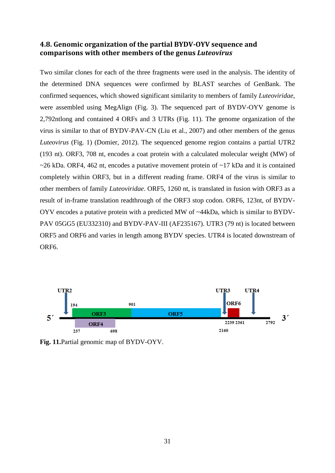#### <span id="page-32-0"></span>**4.8. Genomic organization of the partial BYDV-OYV sequence and comparisons with other members of the genus** *Luteovirus*

Two similar clones for each of the three fragments were used in the analysis. The identity of the determined DNA sequences were confirmed by BLAST searches of GenBank. The confirmed sequences, which showed significant similarity to members of family *Luteoviridae*, were assembled using MegAlign (Fig. 3). The sequenced part of BYDV-OYV genome is 2,792ntlong and contained 4 ORFs and 3 UTRs (Fig. 11). The genome organization of the virus is similar to that of BYDV-PAV-CN (Liu et al., 2007) and other members of the genus *Luteovirus* (Fig. 1) (Domier, 2012). The sequenced genome region contains a partial UTR2 (193 nt). ORF3, 708 nt, encodes a coat protein with a calculated molecular weight (MW) of  $\sim$ 26 kDa. ORF4, 462 nt, encodes a putative movement protein of  $\sim$ 17 kDa and it is contained completely within ORF3, but in a different reading frame. ORF4 of the virus is similar to other members of family *Luteoviridae*. ORF5, 1260 nt, is translated in fusion with ORF3 as a result of in-frame translation readthrough of the ORF3 stop codon. ORF6, 123nt, of BYDV-OYV encodes a putative protein with a predicted MW of ~44kDa, which is similar to BYDV-PAV 05GG5 (EU332310) and BYDV-PAV-III (AF235167). UTR3 (79 nt) is located between ORF5 and ORF6 and varies in length among BYDV species. UTR4 is located downstream of ORF6.



**Fig. 11.**Partial genomic map of BYDV-OYV.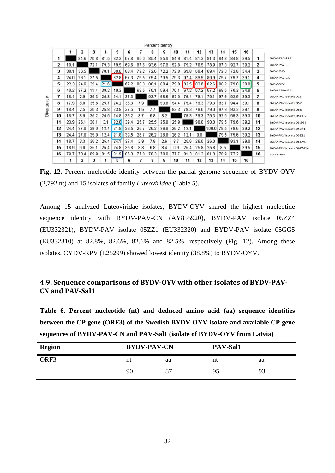|    |      | 2    | 3    | 4    | 5    | 6    | 7    | 8    | Percent Identity<br>9 | 10   | 11   | 12   | 13    | 14   | 15   | 16   |    |                         |
|----|------|------|------|------|------|------|------|------|-----------------------|------|------|------|-------|------|------|------|----|-------------------------|
|    |      | 84.6 | 70.8 | 81.5 | 82.3 | 67.8 | 85.0 | 85.4 | 85.0                  | 84.9 | 81.4 | 81.3 | 81.3  | 84.8 | 84.8 | 39.5 | 1  | BYDV-PAS-129            |
| 2  | 19.1 |      | 72.1 | 79.3 | 79.9 | 69.6 | 97.6 | 93.6 | 97.9                  | 92.8 | 79.2 | 78.9 | 78.9  | 97.3 | 92.7 | 39.2 | 2  | BYDV-PAV-III            |
| 3  | 38.1 | 36.5 |      | 70.1 | 69.6 | 88.4 | 72.2 | 72.6 | 72.2                  | 72.8 | 69.8 | 69.4 | 69.4  | 72.3 | 72.8 | 34.4 | 3  | BYDV-GAV                |
| 4  | 24.0 | 26.1 | 37.5 |      | 82.8 | 67.3 | 79.5 | 79.4 | 79.5                  | 79.3 | 97.4 | 89.9 | 89.9  | 79.7 | 79.7 | 39.1 | 4  | BYDV-PAV-CN             |
| 5  | 22.3 | 24.6 | 39.4 | 21.6 |      | 67.2 | 80.3 | 80.1 | 80.4                  | 79.8 | 82.5 | 82.6 | 82.6  | 80.2 | 79.8 | 38.8 | 5  | <b>BYDV OYV</b>         |
| 6  | 40.2 | 37.2 | 11.4 | 39.2 | 40.3 |      | 69.5 | 70.1 | 69.4                  | 70.1 | 67.2 | 67.2 | 67.2  | 69.5 | 70.3 | 34.8 | 6  | BYDV-MAV-PS1            |
| 7  | 18.4 | 2.9  | 36.3 | 25.8 | 24.1 | 37.3 |      | 93.7 | 98.6                  | 92.9 | 79.4 | 79.1 | 79.1  | 97.6 | 92.9 | 39.3 | 7  | BYDV-PAV isolate 016    |
| 8  | 17.9 | 8.0  | 35.6 | 25.7 | 24.2 | 36.3 | 7.9  |      | 93.8                  | 94.4 | 79.4 | 79.3 | 79.3  | 93.7 | 94.4 | 39.1 | 8  | BYDV-PAV isolate 052    |
| g  | 18.4 | 2.5  | 36.3 | 25.8 | 23.8 | 37.5 | 1.6  | 7.7  |                       | 93.3 | 79.3 | 79.0 | 79.0  | 97.9 | 93.2 | 39.1 | g  | BYDV-PAV isolate 068    |
| 10 | 18.7 | 8.9  | 35.2 | 25.9 | 24.8 | 36.2 | 8.7  | 6.8  | 8.2                   |      | 79.3 | 79.3 | 79.3  | 92.9 | 99.3 | 39.3 | 10 | BYDV-PAV isolate 05GG2  |
| 11 | 23.9 | 26.1 | 38.1 | 3.1  | 22.0 | 39.4 | 25.7 | 25.5 | 25.9                  | 25.9 |      | 90.0 | 90.0  | 79.5 | 79.6 | 39.2 | 11 | BYDV-PAV isolate 05GG5  |
| 12 | 24.4 | 27.0 | 39.0 | 12.4 | 21.8 | 39.5 | 26.7 | 26.2 | 26.8                  | 26.2 | 12.1 |      | 100.0 | 79.5 | 79.6 | 39.2 | 12 | BYDV-PAV isolate 05ZZ4  |
| 13 | 24.4 | 27.0 | 39.0 | 12.4 | 21.8 | 39.5 | 26.7 | 26.2 | 26.8                  | 26.2 | 12.1 | 0.0  |       | 79.5 | 79.6 | 39.2 | 13 | BYDV-PAV isolate 05ZZ1  |
| 14 | 18.7 | 3.3  | 36.2 | 25.4 | 24.1 | 37.4 | 2.9  | 7.9  | 2.6                   | 8.7  | 25.6 | 26.0 | 26.0  |      | 93.1 | 39.0 | 14 | BYDV-PAV isolate 06GY5  |
| 15 | 18.9 | 9.0  | 35.1 | 25.4 | 24.8 | 35.8 | 8.8  | 6.8  | 8.4                   | 0.9  | 25.4 | 25.8 | 25.8  | 8.5  |      | 39.5 | 15 | BYDV-PAV isolate 06KM14 |
| 16 | 79.7 | 78.4 | 89.9 | 81.5 | 81.9 | 86.3 | 77.8 | 78.3 | 78.6                  | 77.7 | 81.3 | 81.3 | 81.3  | 78.9 | 77.2 |      | 16 | CYDV-RPV                |
|    |      | 2    | 3    | 4    | 5    | 6    |      | 8    | g                     | 10   | 11   | 12   | 13    | 14   | 15   | 16   |    |                         |

state the copy of the copy

**Fig. 12.** Percent nucleotide identity between the partial genome sequence of BYDV-OYV (2,792 nt) and 15 isolates of family *Luteoviridae* (Table 5).

Among 15 analyzed Luteoviridae isolates, BYDV-OYV shared the highest nucleotide sequence identity with BYDV-PAV-CN (AY855920), BYDV-PAV isolate 05ZZ4 (EU332321), BYDV-PAV isolate 05ZZ1 (EU332320) and BYDV-PAV isolate 05GG5 (EU332310) at 82.8%, 82.6%, 82.6% and 82.5%, respectively (Fig. 12). Among these isolates, CYDV-RPV (L25299) showed lowest identity (38.8%) to BYDV-OYV.

#### <span id="page-33-0"></span>**4.9. Sequence comparisons of BYDV-OYV with other isolates of BYDV-PAV-CN and PAV-Sal1**

**Table 6. Percent nucleotide (nt) and deduced amino acid (aa) sequence identities between the CP gene (ORF3) of the Swedish BYDV-OYV isolate and available CP gene sequences of BYDV-PAV-CN and PAV-Sal1 (isolate of BYDV-OYV from Latvia)**

| <b>Region</b> | <b>BYDV-PAV-CN</b> |    | PAV-Sal1 |    |  |  |
|---------------|--------------------|----|----------|----|--|--|
| ORF3          | nt                 | aa | nt       | aa |  |  |
|               | 90                 | 87 | 95       | 93 |  |  |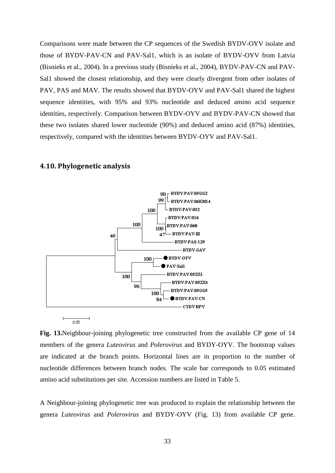Comparisons were made between the CP sequences of the Swedish BYDV-OYV isolate and those of BYDV-PAV-CN and PAV-Sal1, which is an isolate of BYDV-OYV from Latvia (Bisnieks et al., 2004). In a previous study (Bisnieks et al., 2004), BYDV-PAV-CN and PAV-Sal1 showed the closest relationship, and they were clearly divergent from other isolates of PAV, PAS and MAV. The results showed that BYDV-OYV and PAV-Sal1 shared the highest sequence identities, with 95% and 93% nucleotide and deduced amino acid sequence identities, respectively. Comparison between BYDV-OYV and BYDV-PAV-CN showed that these two isolates shared lower nucleotide (90%) and deduced amino acid (87%) identities, respectively, compared with the identities between BYDV-OYV and PAV-Sal1.

<span id="page-34-0"></span>**4.10. Phylogenetic analysis**

 $\overline{ }$ 

 $0.05$ 



**Fig. 13.**Neighbour-joining phylogenetic tree constructed from the available CP gene of 14 members of the genera *Luteovirus* and *Polerovirus* and BYDY-OYV. The bootstrap values are indicated at the branch points. Horizontal lines are in proportion to the number of nucleotide differences between branch nodes. The scale bar corresponds to 0.05 estimated amino acid substitutions per site. Accession numbers are listed in Table 5.

A Neighbour-joining phylogenetic tree was produced to explain the relationship between the genera *Luteovirus* and *Polerovirus* and BYDY-OYV (Fig. 13) from available CP gene.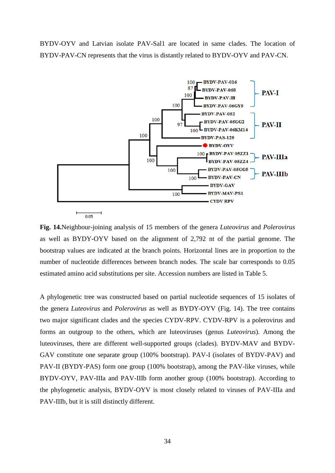BYDV-OYV and Latvian isolate PAV-Sal1 are located in same clades. The location of BYDV-PAV-CN represents that the virus is distantly related to BYDV-OYV and PAV-CN.



**Fig. 14.**Neighbour-joining analysis of 15 members of the genera *Luteovirus* and *Polerovirus* as well as BYDY-OYV based on the alignment of 2,792 nt of the partial genome. The bootstrap values are indicated at the branch points. Horizontal lines are in proportion to the number of nucleotide differences between branch nodes. The scale bar corresponds to 0.05 estimated amino acid substitutions per site. Accession numbers are listed in Table 5.

A phylogenetic tree was constructed based on partial nucleotide sequences of 15 isolates of the genera *Luteovirus* and *Polerovirus* as well as BYDY-OYV (Fig. 14). The tree contains two major significant clades and the species CYDV-RPV. CYDV-RPV is a polerovirus and forms an outgroup to the others, which are luteoviruses (genus *Luteovirus*). Among the luteoviruses, there are different well-supported groups (clades). BYDV-MAV and BYDV-GAV constitute one separate group (100% bootstrap). PAV-I (isolates of BYDV-PAV) and PAV-II (BYDY-PAS) form one group (100% bootstrap), among the PAV-like viruses, while BYDV-OYV, PAV-IIIa and PAV-IIIb form another group (100% bootstrap). According to the phylogenetic analysis, BYDV-OYV is most closely related to viruses of PAV-IIIa and PAV-IIIb, but it is still distinctly different.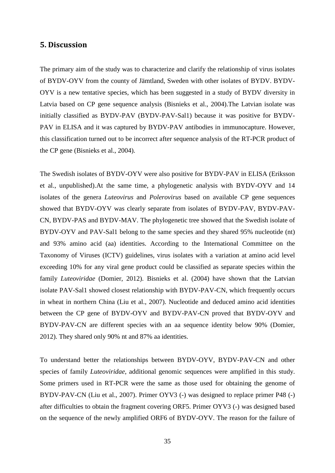#### <span id="page-36-0"></span>**5. Discussion**

The primary aim of the study was to characterize and clarify the relationship of virus isolates of BYDV-OYV from the county of Jämtland, Sweden with other isolates of BYDV. BYDV-OYV is a new tentative species, which has been suggested in a study of BYDV diversity in Latvia based on CP gene sequence analysis (Bisnieks et al., 2004).The Latvian isolate was initially classified as BYDV-PAV (BYDV-PAV-Sal1) because it was positive for BYDV-PAV in ELISA and it was captured by BYDV-PAV antibodies in immunocapture. However, this classification turned out to be incorrect after sequence analysis of the RT-PCR product of the CP gene (Bisnieks et al., 2004).

The Swedish isolates of BYDV-OYV were also positive for BYDV-PAV in ELISA (Eriksson et al., unpublished).At the same time, a phylogenetic analysis with BYDV-OYV and 14 isolates of the genera *Luteovirus* and *Polerovirus* based on available CP gene sequences showed that BYDV-OYV was clearly separate from isolates of BYDV-PAV, BYDV-PAV-CN, BYDV-PAS and BYDV-MAV. The phylogenetic tree showed that the Swedish isolate of BYDV-OYV and PAV-Sal1 belong to the same species and they shared 95% nucleotide (nt) and 93% amino acid (aa) identities. According to the International Committee on the Taxonomy of Viruses (ICTV) guidelines, virus isolates with a variation at amino acid level exceeding 10% for any viral gene product could be classified as separate species within the family *Luteoviridae* (Domier, 2012). Bisnieks et al. (2004) have shown that the Latvian isolate PAV-Sal1 showed closest relationship with BYDV-PAV-CN, which frequently occurs in wheat in northern China (Liu et al., 2007). Nucleotide and deduced amino acid identities between the CP gene of BYDV-OYV and BYDV-PAV-CN proved that BYDV-OYV and BYDV-PAV-CN are different species with an aa sequence identity below 90% (Domier, 2012). They shared only 90% nt and 87% aa identities.

To understand better the relationships between BYDV-OYV, BYDV-PAV-CN and other species of family *Luteoviridae*, additional genomic sequences were amplified in this study. Some primers used in RT-PCR were the same as those used for obtaining the genome of BYDV-PAV-CN (Liu et al., 2007). Primer OYV3 (-) was designed to replace primer P48 (-) after difficulties to obtain the fragment covering ORF5. Primer OYV3 (-) was designed based on the sequence of the newly amplified ORF6 of BYDV-OYV. The reason for the failure of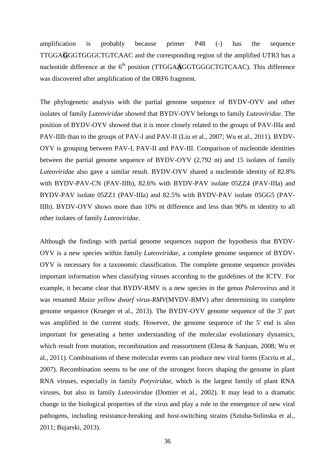amplification is probably because primer P48 (-) has the sequence TTGGA**G**GGTGGGCTGTCAAC and the corresponding region of the amplified UTR3 has a nucleotide difference at the  $6<sup>th</sup>$  position (TTGGA $\overline{AGGTGGGCTGTC}$ AAC). This difference was discovered after amplification of the ORF6 fragment.

The phylogenetic analysis with the partial genome sequence of BYDV-OYV and other isolates of family *Luteoviridae* showed that BYDV-OYV belongs to family *Luteoviridae*. The position of BYDV-OYV showed that it is more closely related to the groups of PAV-IIIa and PAV-IIIb than to the groups of PAV-I and PAV-II (Liu et al., 2007; Wu et al., 2011). BYDV-OYV is grouping between PAV-I, PAV-II and PAV-III. Comparison of nucleotide identities between the partial genome sequence of BYDV-OYV (2,792 nt) and 15 isolates of family *Luteoviridae* also gave a similar result. BYDV-OYV shared a nucleotide identity of 82.8% with BYDV-PAV-CN (PAV-IIIb), 82.6% with BYDV-PAV isolate 05ZZ4 (PAV-IIIa) and BYDV-PAV isolate 05ZZ1 (PAV-IIIa) and 82.5% with BYDV-PAV isolate 05GG5 (PAV-IIIb). BYDV-OYV shows more than 10% nt difference and less than 90% nt identity to all other isolates of family *Luteoviridae*.

Although the findings with partial genome sequences support the hypothesis that BYDV-OYV is a new species within family *Luteoviridae*, a complete genome sequence of BYDV-OYV is necessary for a taxonomic classification. The complete genome sequence provides important information when classifying viruses according to the guidelines of the ICTV. For example, it became clear that BYDV-RMV is a new species in the genus *Polerovirus* and it was renamed *Maize yellow dwarf virus-RMV*(MYDV-RMV) after determining its complete genome sequence (Krueger et al., 2013). The BYDV-OYV genome sequence of the 3' part was amplified in the current study. However, the genome sequence of the 5' end is also important for generating a better understanding of the molecular evolutionary dynamics, which result from mutation, recombination and reassortment (Elena & Sanjuan, 2008; Wu et al., 2011). Combinations of these molecular events can produce new viral forms (Escriu et al., 2007). Recombination seems to be one of the strongest forces shaping the genome in plant RNA viruses, especially in family *Potyviridae*, which is the largest family of plant RNA viruses, but also in family *Luteoviridae* (Domier et al., 2002). It may lead to a dramatic change in the biological properties of the virus and play a role in the emergence of new viral pathogens, including resistance-breaking and host-switching strains (Sztuba-Solinska et al., 2011; Bujarski, 2013).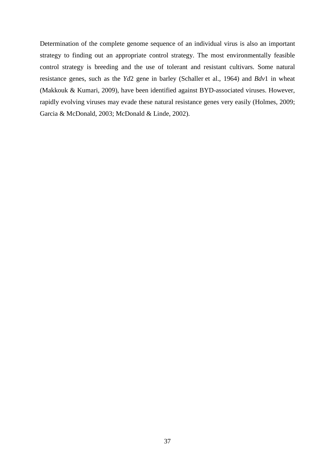<span id="page-38-0"></span>Determination of the complete genome sequence of an individual virus is also an important strategy to finding out an appropriate control strategy. The most environmentally feasible control strategy is breeding and the use of tolerant and resistant cultivars. Some natural resistance genes, such as the *Yd*2 gene in barley (Schaller et al., 1964) and *Bdv*1 in wheat (Makkouk & Kumari, 2009), have been identified against BYD-associated viruses. However, rapidly evolving viruses may evade these natural resistance genes very easily (Holmes, 2009; Garcia & McDonald, 2003; McDonald & Linde, 2002).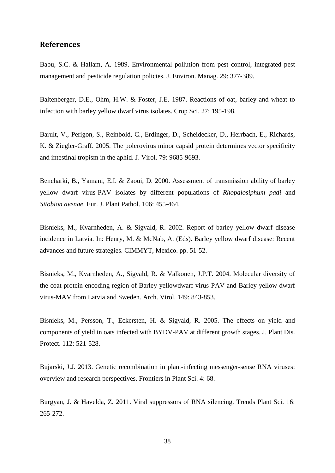#### **References**

Babu, S.C. & Hallam, A. 1989. Environmental pollution from pest control, integrated pest management and pesticide regulation policies. J. Environ. Manag. 29: 377-389.

Baltenberger, D.E., Ohm, H.W. & Foster, J.E. 1987. Reactions of oat, barley and wheat to infection with barley yellow dwarf virus isolates. Crop Sci. 27: 195-198.

Barult, V., Perigon, S., Reinbold, C., Erdinger, D., Scheidecker, D., Herrbach, E., Richards, K. & Ziegler-Graff. 2005. The polerovirus minor capsid protein determines vector specificity and intestinal tropism in the aphid. J. Virol. 79: 9685-9693.

Bencharki, B., Yamani, E.I. & Zaoui, D. 2000. Assessment of transmission ability of barley yellow dwarf virus-PAV isolates by different populations of *Rhopalosiphum padi* and *Sitobion avenae*. Eur. J. Plant Pathol. 106: 455-464.

Bisnieks, M., Kvarnheden, A. & Sigvald, R. 2002. Report of barley yellow dwarf disease incidence in Latvia. In: Henry, M. & McNab, A. (Eds). Barley yellow dwarf disease: Recent advances and future strategies. CIMMYT, Mexico. pp. 51-52.

Bisnieks, M., Kvarnheden, A., Sigvald, R. & Valkonen, J.P.T. 2004. Molecular diversity of the coat protein-encoding region of Barley yellowdwarf virus-PAV and Barley yellow dwarf virus-MAV from Latvia and Sweden. Arch. Virol. 149: 843-853.

Bisnieks, M., Persson, T., Eckersten, H. & Sigvald, R. 2005. The effects on yield and components of yield in oats infected with BYDV-PAV at different growth stages. J. Plant Dis. Protect. 112: 521-528.

Bujarski, J.J. 2013. Genetic recombination in plant-infecting messenger-sense RNA viruses: overview and research perspectives. Frontiers in Plant Sci. 4: 68.

Burgyan, J. & Havelda, Z. 2011. Viral suppressors of RNA silencing. Trends Plant Sci. 16: 265-272.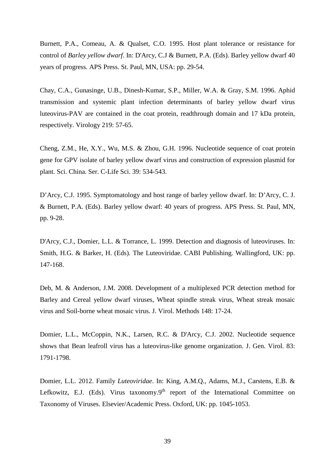Burnett, P.A., Comeau, A. & Qualset, C.O. 1995. Host plant tolerance or resistance for control of *Barley yellow dwarf*. In: D'Arcy, C.J & Burnett, P.A. (Eds). Barley yellow dwarf 40 years of progress*.* APS Press. St. Paul, MN, USA: pp. 29-54.

Chay, C.A., Gunasinge, U.B., Dinesh-Kumar, S.P., Miller, W.A. & Gray, S.M. 1996. Aphid transmission and systemic plant infection determinants of barley yellow dwarf virus luteovirus-PAV are contained in the coat protein, readthrough domain and 17 kDa protein, respectively. Virology 219: 57-65.

Cheng, Z.M., He, X.Y., Wu, M.S. & Zhou, G.H. 1996. Nucleotide sequence of coat protein gene for GPV isolate of barley yellow dwarf virus and construction of expression plasmid for plant. Sci. China. Ser. C-Life Sci. 39: 534-543.

D'Arcy, C.J. 1995. Symptomatology and host range of barley yellow dwarf. In: D'Arcy, C. J. & Burnett, P.A. (Eds). Barley yellow dwarf: 40 years of progress. APS Press. St. Paul, MN, pp. 9-28.

D'Arcy, C.J., Domier, L.L. & Torrance, L. 1999. Detection and diagnosis of luteoviruses. In: Smith, H.G. & Barker, H. (Eds). The Luteoviridae. CABI Publishing. Wallingford, UK: pp. 147-168.

Deb, M. & Anderson, J.M. 2008. Development of a multiplexed PCR detection method for Barley and Cereal yellow dwarf viruses, Wheat spindle streak virus, Wheat streak mosaic virus and Soil-borne wheat mosaic virus. J. Virol. Methods 148: 17-24.

Domier, L.L., McCoppin, N.K., Larsen, R.C. & D'Arcy, C.J. 2002. Nucleotide sequence shows that Bean leafroll virus has a luteovirus-like genome organization. J. Gen. Virol. 83: 1791-1798.

Domier, L.L. 2012. Family *Luteoviridae*. In: King, A.M.Q., Adams, M.J., Carstens, E.B. & Lefkowitz, E.J. (Eds). Virus taxonomy.9<sup>th</sup> report of the International Committee on Taxonomy of Viruses. Elsevier/Academic Press. Oxford, UK: pp. 1045-1053.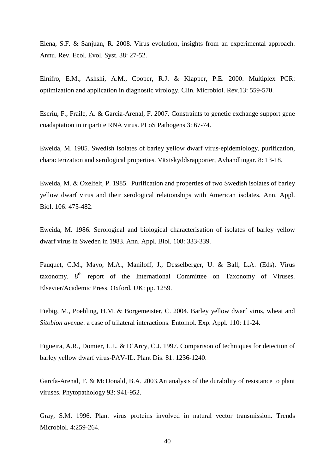Elena, S.F. & Sanjuan, R. 2008. Virus evolution, insights from an experimental approach. Annu. Rev. Ecol. Evol. Syst. 38: 27-52.

Elnifro, E.M., Ashshi, A.M., Cooper, R.J. & Klapper, P.E. 2000. Multiplex PCR: optimization and application in diagnostic virology. Clin. Microbiol. Rev*.*13: 559-570.

Escriu, F., Fraile, A. & Garcia-Arenal, F. 2007. Constraints to genetic exchange support gene coadaptation in tripartite RNA virus. PLoS Pathogens 3: 67-74.

Eweida, M. 1985. Swedish isolates of barley yellow dwarf virus-epidemiology, purification, characterization and serological properties. Växtskyddsrapporter, Avhandlingar. 8: 13-18.

Eweida, M. & Oxelfelt, P. 1985. Purification and properties of two Swedish isolates of barley yellow dwarf virus and their serological relationships with American isolates. Ann. Appl. Biol. 106: 475-482.

Eweida, M. 1986. Serological and biological characterisation of isolates of barley yellow dwarf virus in Sweden in 1983. Ann. Appl. Biol. 108: 333-339.

Fauquet, C.M., Mayo, M.A., Maniloff, J., Desselberger, U. & Ball, L.A. (Eds). Virus taxonomy.  $8<sup>th</sup>$  report of the International Committee on Taxonomy of Viruses. Elsevier/Academic Press. Oxford, UK: pp. 1259.

Fiebig, M., Poehling, H.M. & Borgemeister, C. 2004. Barley yellow dwarf virus, wheat and *Sitobion avenae*: a case of trilateral interactions. Entomol. Exp. Appl. 110: 11-24.

Figueira, A.R., Domier, L.L. & D'Arcy, C.J. 1997. Comparison of techniques for detection of barley yellow dwarf virus-PAV-IL. Plant Dis. 81: 1236-1240.

García-Arenal, F. & McDonald, B.A. 2003.An analysis of the durability of resistance to plant viruses. Phytopathology 93: 941-952.

Gray, S.M. 1996. Plant virus proteins involved in natural vector transmission. Trends Microbiol. 4:259-264.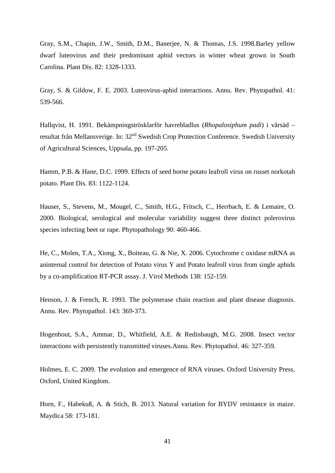Gray, S.M., Chapin, J.W., Smith, D.M., Banerjee, N. & Thomas, J.S. 1998.Barley yellow dwarf luteovirus and their predominant aphid vectors in winter wheat grown in South Carolina. Plant Dis. 82: 1328-1333.

Gray, S. & Gildow, F. E. 2003. Luteovirus-aphid interactions. Annu. Rev. Phytopathol. 41: 539-566.

Hallqvist, H. 1991. Bekämpningströsklarför havrebladlus (*Rhopalosiphum padi*) i vårsäd – resultat från Mellansverige. In: 32<sup>nd</sup> Swedish Crop Protection Conference. Swedish University of Agricultural Sciences, Uppsala, pp. 197-205.

Hamm, P.B. & Hane, D.C. 1999. Effects of seed borne potato leafroll virus on russet norkotah potato. Plant Dis. 83: 1122-1124.

Hauser, S., Stevens, M., Mougel, C., Smith, H.G., Fritsch, C., Herrbach, E. & Lemaire, O. 2000. Biological, serological and molecular variability suggest three distinct polerovirus species infecting beet or rape. Phytopathology 90: 460-466.

He, C., Molen, T.A., Xiong, X., Boiteau, G. & Nie, X. 2006. Cytochrome c oxidase mRNA as aninternal control for detection of Potato virus Y and Potato leafroll virus from single aphids by a co-amplification RT-PCR assay. J. Virol Methods 138: 152-159.

Henson, J. & French, R. 1993. The polymerase chain reaction and plant disease diagnosis. Annu. Rev. Phytopathol. 143: 369-373.

Hogenhout, S.A., Ammar, D., Whitfield, A.E. & Redinbaugh, M.G. 2008. Insect vector interactions with persistently transmitted viruses.Annu. Rev. Phytopathol. 46: 327-359.

Holmes, E. C. 2009. The evolution and emergence of RNA viruses. Oxford University Press, Oxford, United Kingdom.

Horn, F., Habekuß, A. & Stich, B. 2013. Natural variation for BYDV resistance in maize. Maydica 58: 173-181.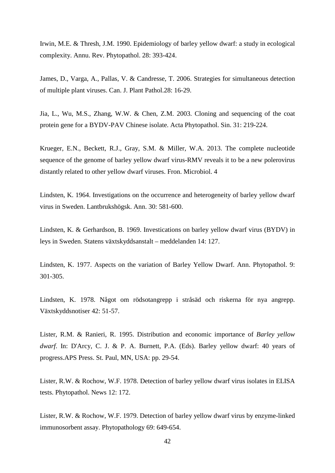Irwin, M.E. & Thresh, J.M. 1990. Epidemiology of barley yellow dwarf: a study in ecological complexity. Annu. Rev. Phytopathol. 28: 393-424.

James, D., Varga, A., Pallas, V. & Candresse, T. 2006. Strategies for simultaneous detection of multiple plant viruses. Can. J. Plant Pathol.28: 16-29.

Jia, L., Wu, M.S., Zhang, W.W. & Chen, Z.M. 2003. Cloning and sequencing of the coat protein gene for a BYDV-PAV Chinese isolate. Acta Phytopathol. Sin. 31: 219-224.

Krueger, E.N., Beckett, R.J., Gray, S.M. & Miller, W.A. 2013. The complete nucleotide sequence of the genome of barley yellow dwarf virus-RMV reveals it to be a new polerovirus distantly related to other yellow dwarf viruses. Fron. Microbiol. 4

Lindsten, K. 1964. Investigations on the occurrence and heterogeneity of barley yellow dwarf virus in Sweden. Lantbrukshögsk. Ann. 30: 581-600.

Lindsten, K. & Gerhardson, B. 1969. Investications on barley yellow dwarf virus (BYDV) in leys in Sweden. Statens växtskyddsanstalt – meddelanden 14: 127.

Lindsten, K. 1977. Aspects on the variation of Barley Yellow Dwarf. Ann. Phytopathol. 9: 301-305.

Lindsten, K. 1978. Något om rödsotangrepp i stråsäd och riskerna för nya angrepp. Växtskyddsnotiser 42: 51-57.

Lister, R.M. & Ranieri, R. 1995. Distribution and economic importance of *Barley yellow dwarf*. In: D'Arcy, C. J. & P. A. Burnett, P.A. (Eds). Barley yellow dwarf: 40 years of progress.APS Press. St. Paul, MN, USA: pp. 29-54.

Lister, R.W. & Rochow, W.F. 1978. Detection of barley yellow dwarf virus isolates in ELISA tests. Phytopathol. News 12: 172.

Lister, R.W. & Rochow, W.F. 1979. Detection of barley yellow dwarf virus by enzyme-linked immunosorbent assay. Phytopathology 69: 649-654.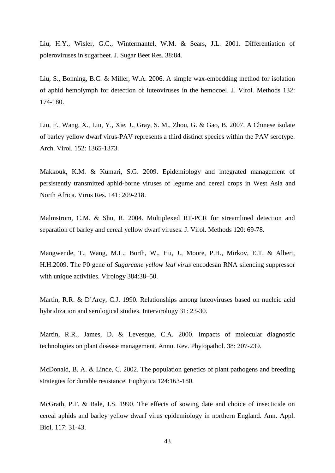Liu, H.Y., Wisler, G.C., Wintermantel, W.M. & Sears, J.L. 2001. Differentiation of poleroviruses in sugarbeet. J. Sugar Beet Res. 38:84.

Liu, S., Bonning, B.C. & Miller, W.A. 2006. A simple wax-embedding method for isolation of aphid hemolymph for detection of luteoviruses in the hemocoel. J. Virol. Methods 132: 174-180.

Liu, F., Wang, X., Liu, Y., Xie, J., Gray, S. M., Zhou, G. & Gao, B. 2007. A Chinese isolate of barley yellow dwarf virus-PAV represents a third distinct species within the PAV serotype. Arch. Virol. 152: 1365-1373.

Makkouk, K.M. & Kumari, S.G. 2009. Epidemiology and integrated management of persistently transmitted aphid-borne viruses of legume and cereal crops in West Asia and North Africa. Virus Res. 141: 209-218.

Malmstrom, C.M. & Shu, R. 2004. Multiplexed RT-PCR for streamlined detection and separation of barley and cereal yellow dwarf viruses. J. Virol. Methods 120: 69-78.

Mangwende, T., Wang, M.L., Borth, W., Hu, J., Moore, P.H., Mirkov, E.T. & Albert, H.H.2009. The P0 gene of *Sugarcane yellow leaf virus* encodesan RNA silencing suppressor with unique activities. Virology 384:38–50.

Martin, R.R. & D'Arcy, C.J. 1990. Relationships among luteoviruses based on nucleic acid hybridization and serological studies. Intervirology 31: 23-30.

Martin, R.R., James, D. & Levesque, C.A. 2000. Impacts of molecular diagnostic technologies on plant disease management. Annu. Rev. Phytopathol. 38: 207-239.

McDonald, B. A. & Linde, C. 2002. The population genetics of plant pathogens and breeding strategies for durable resistance. Euphytica 124:163-180.

McGrath, P.F. & Bale, J.S. 1990. The effects of sowing date and choice of insecticide on cereal aphids and barley yellow dwarf virus epidemiology in northern England. Ann. Appl. Biol. 117: 31-43.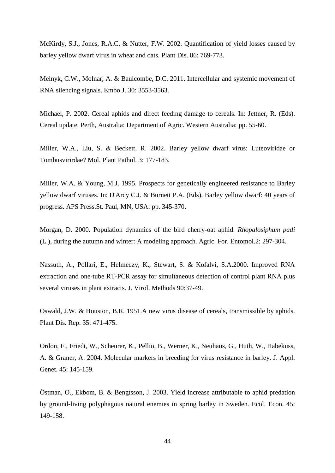McKirdy, S.J., Jones, R.A.C. & Nutter, F.W. 2002. Quantification of yield losses caused by barley yellow dwarf virus in wheat and oats. Plant Dis. 86: 769-773.

Melnyk, C.W., Molnar, A. & Baulcombe, D.C. 2011. Intercellular and systemic movement of RNA silencing signals. Embo J. 30: 3553-3563.

Michael, P. 2002. Cereal aphids and direct feeding damage to cereals. In: Jettner, R. (Eds). Cereal update. Perth, Australia: Department of Agric. Western Australia: pp. 55-60.

Miller, W.A., Liu, S. & Beckett, R. 2002. Barley yellow dwarf virus: Luteoviridae or Tombusvirirdae? Mol. Plant Pathol. 3: 177-183.

Miller, W.A. & Young, M.J. 1995. Prospects for genetically engineered resistance to Barley yellow dwarf viruses. In: D'Arcy C.J. & Burnett P.A. (Eds). Barley yellow dwarf: 40 years of progress. APS Press.St. Paul, MN, USA: pp. 345-370.

Morgan, D. 2000. Population dynamics of the bird cherry-oat aphid. *Rhopalosiphum padi* (L.), during the autumn and winter: A modeling approach. Agric. For. Entomol.2: 297-304.

Nassuth, A., Pollari, E., Helmeczy, K., Stewart, S. & Kofalvi, S.A.2000. Improved RNA extraction and one-tube RT-PCR assay for simultaneous detection of control plant RNA plus several viruses in plant extracts. J. Virol. Methods 90:37-49.

Oswald, J.W. & Houston, B.R. 1951.A new virus disease of cereals, transmissible by aphids. Plant Dis. Rep. 35: 471-475.

Ordon, F., Friedt, W., Scheurer, K., Pellio, B., Werner, K., Neuhaus, G., Huth, W., Habekuss, A. & Graner, A. 2004. Molecular markers in breeding for virus resistance in barley. J. Appl. Genet. 45: 145-159.

Östman, O., Ekbom, B. & Bengtsson, J. 2003. Yield increase attributable to aphid predation by ground-living polyphagous natural enemies in spring barley in Sweden. Ecol. Econ. 45: 149-158.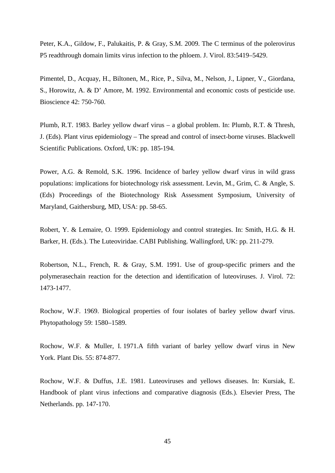Peter, K.A., Gildow, F., Palukaitis, P. & Gray, S.M. 2009. The C terminus of the polerovirus P5 readthrough domain limits virus infection to the phloem. J. Virol. 83:5419–5429.

Pimentel, D., Acquay, H., Biltonen, M., Rice, P., Silva, M., Nelson, J., Lipner, V., Giordana, S., Horowitz, A. & D' Amore, M. 1992. Environmental and economic costs of pesticide use. Bioscience 42: 750-760.

Plumb, R.T. 1983. Barley yellow dwarf virus – a global problem. In: Plumb, R.T. & Thresh, J. (Eds). Plant virus epidemiology – The spread and control of insect-borne viruses. Blackwell Scientific Publications. Oxford, UK: pp. 185-194.

Power, A.G. & Remold, S.K. 1996. Incidence of barley yellow dwarf virus in wild grass populations: implications for biotechnology risk assessment. Levin, M., Grim, C. & Angle, S. (Eds) Proceedings of the Biotechnology Risk Assessment Symposium, University of Maryland, Gaithersburg, MD, USA: pp. 58-65.

Robert, Y. & Lemaire, O. 1999. Epidemiology and control strategies. In: Smith, H.G. & H. Barker, H. (Eds.). The Luteoviridae. CABI Publishing. Wallingford, UK: pp. 211-279.

Robertson, N.L., French, R. & Gray, S.M. 1991. Use of group-specific primers and the polymerasechain reaction for the detection and identification of luteoviruses. J. Virol. 72: 1473-1477.

Rochow, W.F. 1969. Biological properties of four isolates of barley yellow dwarf virus. Phytopathology 59: 1580–1589.

Rochow, W.F. & Muller, I. 1971.A fifth variant of barley yellow dwarf virus in New York. Plant Dis. 55: 874-877.

Rochow, W.F. & Duffus, J.E. 1981. Luteoviruses and yellows diseases. In: Kursiak, E. Handbook of plant virus infections and comparative diagnosis (Eds.)*.* Elsevier Press, The Netherlands. pp. 147-170.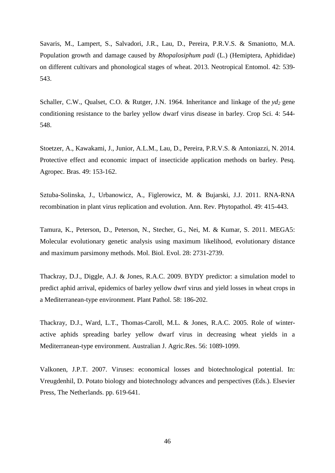Savaris, M., Lampert, S., Salvadori, J.R., Lau, D., Pereira, P.R.V.S. & Smaniotto, M.A. Population growth and damage caused by *Rhopalosiphum padi* (L.) (Hemiptera, Aphididae) on different cultivars and phonological stages of wheat. 2013. Neotropical Entomol. 42: 539- 543.

Schaller, C.W., Qualset, C.O. & Rutger, J.N. 1964. Inheritance and linkage of the  $vd_2$  gene conditioning resistance to the barley yellow dwarf virus disease in barley. Crop Sci. 4: 544- 548.

Stoetzer, A., Kawakami, J., Junior, A.L.M., Lau, D., Pereira, P.R.V.S. & Antoniazzi, N. 2014. Protective effect and economic impact of insecticide application methods on barley. Pesq. Agropec. Bras. 49: 153-162.

Sztuba-Solinska, J., Urbanowicz, A., Figlerowicz, M. & Bujarski, J.J. 2011. RNA-RNA recombination in plant virus replication and evolution. Ann. Rev. Phytopathol. 49: 415-443.

Tamura, K., Peterson, D., Peterson, N., Stecher, G., Nei, M. & Kumar, S. 2011. MEGA5: Molecular evolutionary genetic analysis using maximum likelihood, evolutionary distance and maximum parsimony methods. Mol. Biol. Evol. 28: 2731-2739.

Thackray, D.J., Diggle, A.J. & Jones, R.A.C. 2009. BYDY predictor: a simulation model to predict aphid arrival, epidemics of barley yellow dwrf virus and yield losses in wheat crops in a Mediterranean-type environment. Plant Pathol. 58: 186-202.

Thackray, D.J., Ward, L.T., Thomas-Caroll, M.L. & Jones, R.A.C. 2005. Role of winteractive aphids spreading barley yellow dwarf virus in decreasing wheat yields in a Mediterranean-type environment. Australian J. Agric.Res. 56: 1089-1099.

Valkonen, J.P.T. 2007. Viruses: economical losses and biotechnological potential. In: Vreugdenhil, D. Potato biology and biotechnology advances and perspectives (Eds.). Elsevier Press, The Netherlands. pp. 619-641.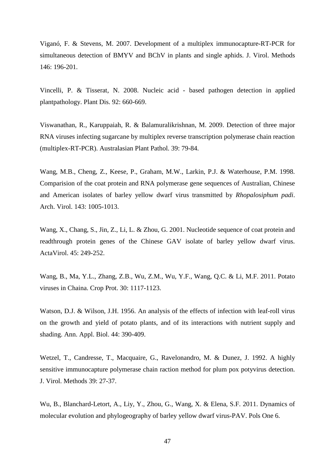Viganó, F. & Stevens, M. 2007. Development of a multiplex immunocapture-RT-PCR for simultaneous detection of BMYV and BChV in plants and single aphids. J. Virol. Methods 146: 196-201.

Vincelli, P. & Tisserat, N. 2008. Nucleic acid - based pathogen detection in applied plantpathology. Plant Dis. 92: 660-669.

Viswanathan, R., Karuppaiah, R. & Balamuralikrishnan, M. 2009. Detection of three major RNA viruses infecting sugarcane by multiplex reverse transcription polymerase chain reaction (multiplex-RT-PCR). Australasian Plant Pathol. 39: 79-84.

Wang, M.B., Cheng, Z., Keese, P., Graham, M.W., Larkin, P.J. & Waterhouse, P.M. 1998. Comparision of the coat protein and RNA polymerase gene sequences of Australian, Chinese and American isolates of barley yellow dwarf virus transmitted by *Rhopalosiphum padi*. Arch. Virol. 143: 1005-1013.

Wang, X., Chang, S., Jin, Z., Li, L. & Zhou, G. 2001. Nucleotide sequence of coat protein and readthrough protein genes of the Chinese GAV isolate of barley yellow dwarf virus. ActaVirol. 45: 249-252.

Wang, B., Ma, Y.L., Zhang, Z.B., Wu, Z.M., Wu, Y.F., Wang, Q.C. & Li, M.F. 2011. Potato viruses in Chaina. Crop Prot. 30: 1117-1123.

Watson, D.J. & Wilson, J.H. 1956. An analysis of the effects of infection with leaf-roll virus on the growth and yield of potato plants, and of its interactions with nutrient supply and shading. Ann. Appl. Biol. 44: 390-409.

Wetzel, T., Candresse, T., Macquaire, G., Ravelonandro, M. & Dunez, J. 1992. A highly sensitive immunocapture polymerase chain raction method for plum pox potyvirus detection. J. Virol. Methods 39: 27-37.

Wu, B., Blanchard-Letort, A., Liy, Y., Zhou, G., Wang, X. & Elena, S.F. 2011. Dynamics of molecular evolution and phylogeography of barley yellow dwarf virus-PAV. Pols One 6.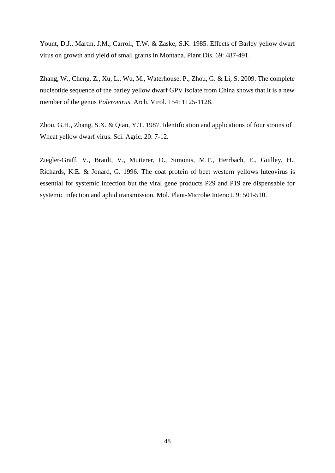Yount, D.J., Martin, J.M., Carroll, T.W. & Zaske, S.K. 1985. Effects of Barley yellow dwarf virus on growth and yield of small grains in Montana. Plant Dis. 69: 487-491.

Zhang, W., Cheng, Z., Xu, L., Wu, M., Waterhouse, P., Zhou, G. & Li, S. 2009. The complete nucleotide sequence of the barley yellow dwarf GPV isolate from China shows that it is a new member of the genus *Polerovirus*. Arch. Virol. 154: 1125-1128.

Zhou, G.H., Zhang, S.X. & Qian, Y.T. 1987. Identification and applications of four strains of Wheat yellow dwarf virus. Sci. Agric. 20: 7-12.

<span id="page-49-0"></span>Ziegler-Graff, V., Brault, V., Mutterer, D., Simonis, M.T., Herrbach, E., Guilley, H., Richards, K.E. & Jonard, G. 1996. The coat protein of beet western yellows luteovirus is essential for systemic infection but the viral gene products P29 and P19 are dispensable for systemic infection and aphid transmission. Mol. Plant-Microbe Interact. 9: 501-510.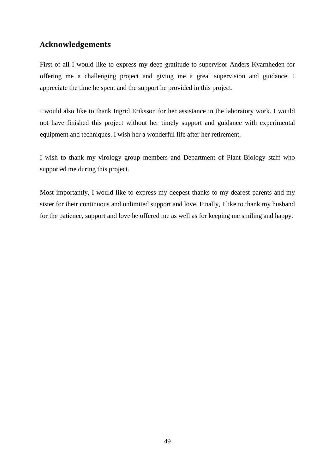## **Acknowledgements**

First of all I would like to express my deep gratitude to supervisor Anders Kvarnheden for offering me a challenging project and giving me a great supervision and guidance. I appreciate the time he spent and the support he provided in this project.

I would also like to thank Ingrid Eriksson for her assistance in the laboratory work. I would not have finished this project without her timely support and guidance with experimental equipment and techniques. I wish her a wonderful life after her retirement.

I wish to thank my virology group members and Department of Plant Biology staff who supported me during this project.

Most importantly, I would like to express my deepest thanks to my dearest parents and my sister for their continuous and unlimited support and love. Finally, I like to thank my husband for the patience, support and love he offered me as well as for keeping me smiling and happy.